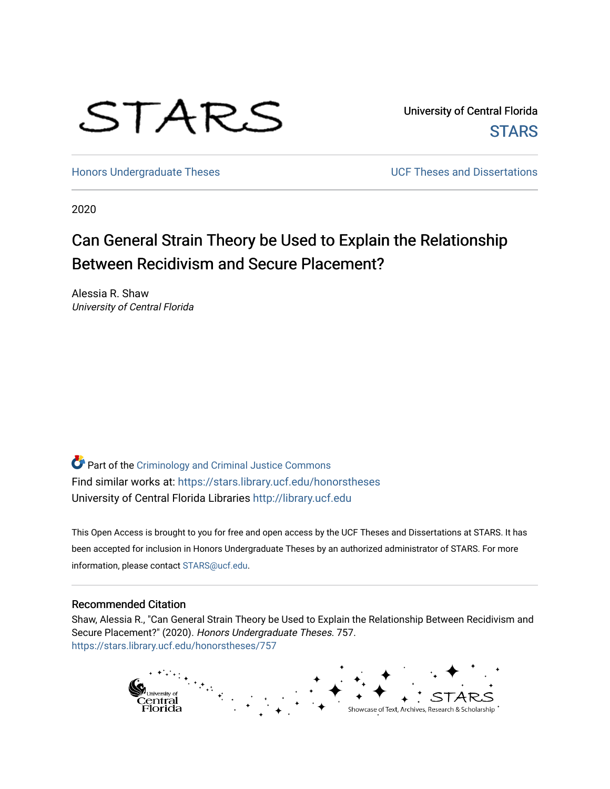

University of Central Florida **STARS** 

[Honors Undergraduate Theses](https://stars.library.ucf.edu/honorstheses) **No. 2018** UCF Theses and Dissertations

2020

# Can General Strain Theory be Used to Explain the Relationship Between Recidivism and Secure Placement?

Alessia R. Shaw University of Central Florida

Part of the [Criminology and Criminal Justice Commons](http://network.bepress.com/hgg/discipline/367?utm_source=stars.library.ucf.edu%2Fhonorstheses%2F757&utm_medium=PDF&utm_campaign=PDFCoverPages) Find similar works at: <https://stars.library.ucf.edu/honorstheses> University of Central Florida Libraries [http://library.ucf.edu](http://library.ucf.edu/) 

This Open Access is brought to you for free and open access by the UCF Theses and Dissertations at STARS. It has been accepted for inclusion in Honors Undergraduate Theses by an authorized administrator of STARS. For more information, please contact [STARS@ucf.edu.](mailto:STARS@ucf.edu)

#### Recommended Citation

Shaw, Alessia R., "Can General Strain Theory be Used to Explain the Relationship Between Recidivism and Secure Placement?" (2020). Honors Undergraduate Theses. 757. [https://stars.library.ucf.edu/honorstheses/757](https://stars.library.ucf.edu/honorstheses/757?utm_source=stars.library.ucf.edu%2Fhonorstheses%2F757&utm_medium=PDF&utm_campaign=PDFCoverPages) 

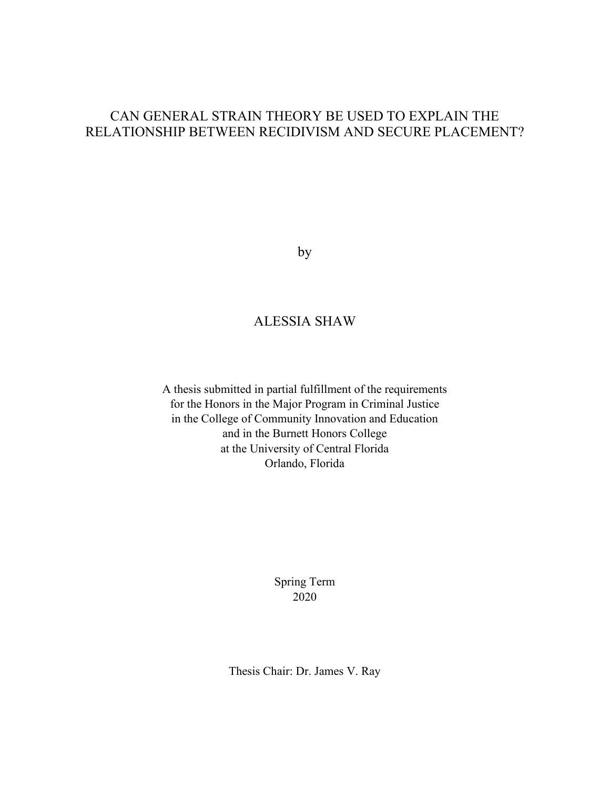## CAN GENERAL STRAIN THEORY BE USED TO EXPLAIN THE RELATIONSHIP BETWEEN RECIDIVISM AND SECURE PLACEMENT?

by

## ALESSIA SHAW

A thesis submitted in partial fulfillment of the requirements for the Honors in the Major Program in Criminal Justice in the College of Community Innovation and Education and in the Burnett Honors College at the University of Central Florida Orlando, Florida

> Spring Term 2020

Thesis Chair: Dr. James V. Ray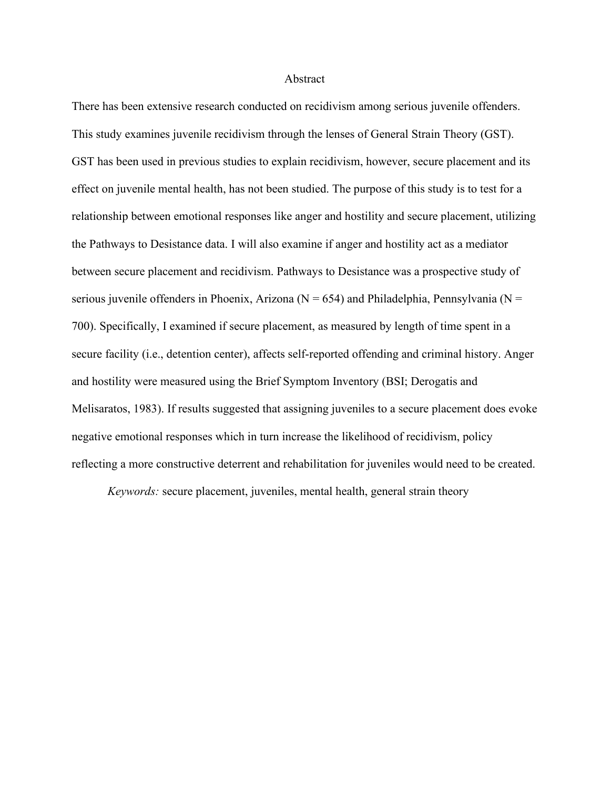#### Abstract

There has been extensive research conducted on recidivism among serious juvenile offenders. This study examines juvenile recidivism through the lenses of General Strain Theory (GST). GST has been used in previous studies to explain recidivism, however, secure placement and its effect on juvenile mental health, has not been studied. The purpose of this study is to test for a relationship between emotional responses like anger and hostility and secure placement, utilizing the Pathways to Desistance data. I will also examine if anger and hostility act as a mediator between secure placement and recidivism. Pathways to Desistance was a prospective study of serious juvenile offenders in Phoenix, Arizona ( $N = 654$ ) and Philadelphia, Pennsylvania ( $N =$ 700). Specifically, I examined if secure placement, as measured by length of time spent in a secure facility (i.e., detention center), affects self-reported offending and criminal history. Anger and hostility were measured using the Brief Symptom Inventory (BSI; Derogatis and Melisaratos, 1983). If results suggested that assigning juveniles to a secure placement does evoke negative emotional responses which in turn increase the likelihood of recidivism, policy reflecting a more constructive deterrent and rehabilitation for juveniles would need to be created.

*Keywords:* secure placement, juveniles, mental health, general strain theory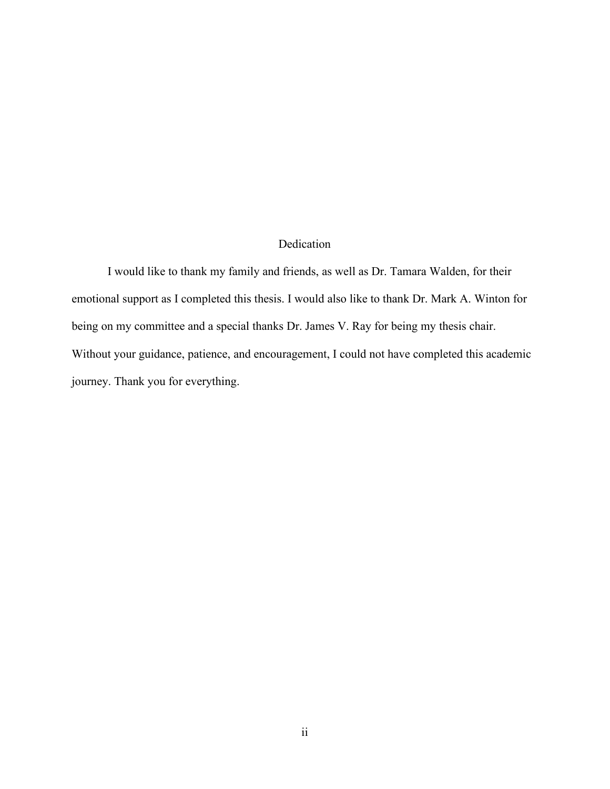### Dedication

I would like to thank my family and friends, as well as Dr. Tamara Walden, for their emotional support as I completed this thesis. I would also like to thank Dr. Mark A. Winton for being on my committee and a special thanks Dr. James V. Ray for being my thesis chair. Without your guidance, patience, and encouragement, I could not have completed this academic journey. Thank you for everything.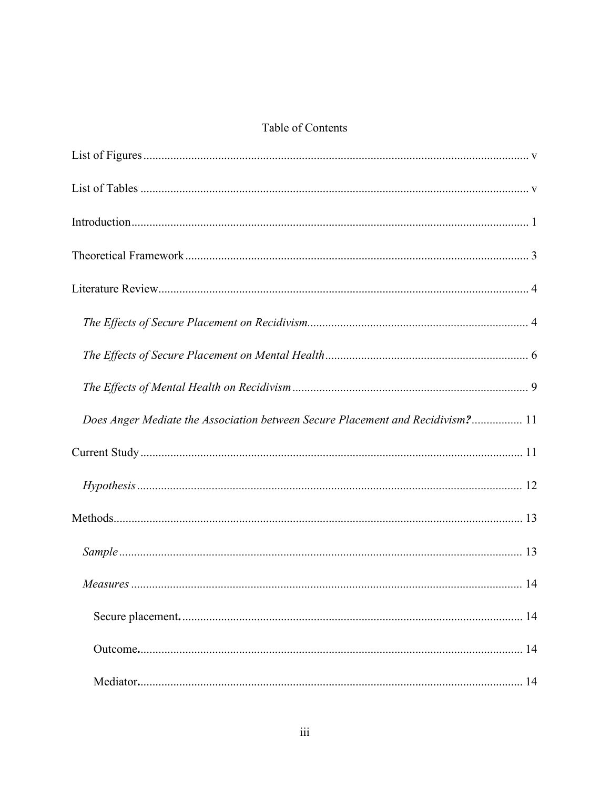### Table of Contents

| Does Anger Mediate the Association between Secure Placement and Recidivism? 11 |
|--------------------------------------------------------------------------------|
|                                                                                |
|                                                                                |
|                                                                                |
|                                                                                |
|                                                                                |
|                                                                                |
|                                                                                |
|                                                                                |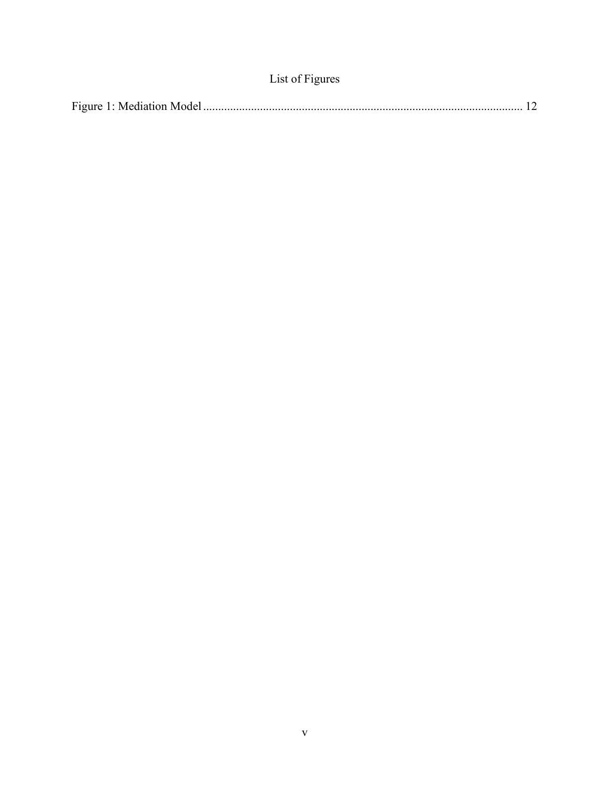| List of Figures |  |  |
|-----------------|--|--|
|-----------------|--|--|

<span id="page-6-0"></span>

|--|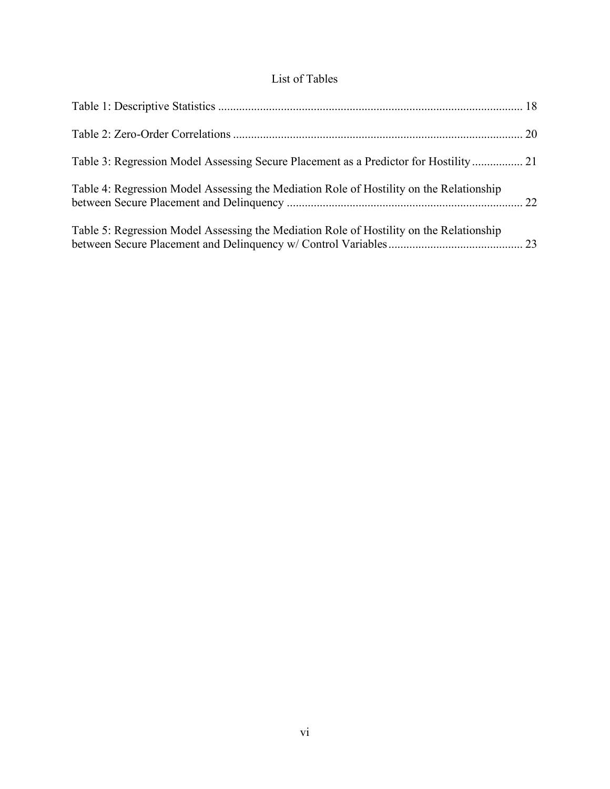## List of Tables

| Table 3: Regression Model Assessing Secure Placement as a Predictor for Hostility 21    |  |
|-----------------------------------------------------------------------------------------|--|
| Table 4: Regression Model Assessing the Mediation Role of Hostility on the Relationship |  |
| Table 5: Regression Model Assessing the Mediation Role of Hostility on the Relationship |  |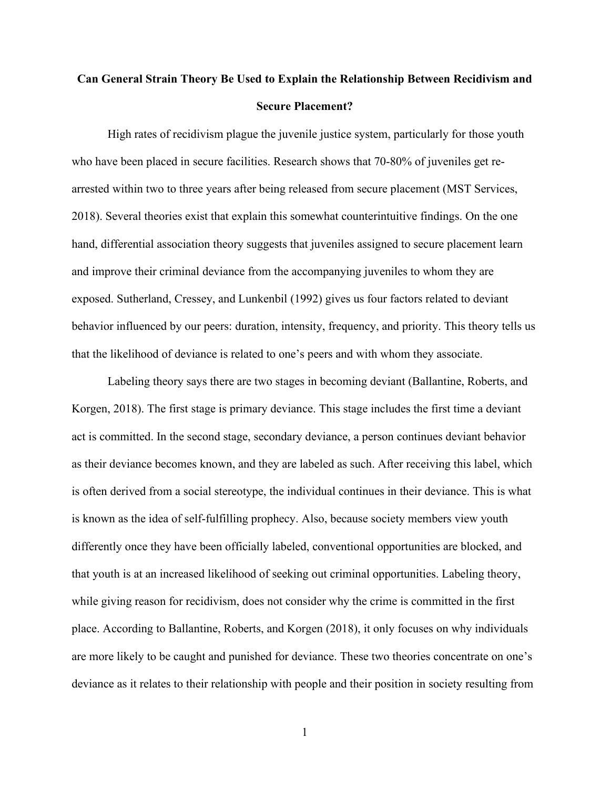# <span id="page-8-0"></span>**Can General Strain Theory Be Used to Explain the Relationship Between Recidivism and Secure Placement?**

High rates of recidivism plague the juvenile justice system, particularly for those youth who have been placed in secure facilities. Research shows that 70-80% of juveniles get rearrested within two to three years after being released from secure placement (MST Services, 2018). Several theories exist that explain this somewhat counterintuitive findings. On the one hand, differential association theory suggests that juveniles assigned to secure placement learn and improve their criminal deviance from the accompanying juveniles to whom they are exposed. Sutherland, Cressey, and Lunkenbil (1992) gives us four factors related to deviant behavior influenced by our peers: duration, intensity, frequency, and priority. This theory tells us that the likelihood of deviance is related to one's peers and with whom they associate.

Labeling theory says there are two stages in becoming deviant (Ballantine, Roberts, and Korgen, 2018). The first stage is primary deviance. This stage includes the first time a deviant act is committed. In the second stage, secondary deviance, a person continues deviant behavior as their deviance becomes known, and they are labeled as such. After receiving this label, which is often derived from a social stereotype, the individual continues in their deviance. This is what is known as the idea of self-fulfilling prophecy. Also, because society members view youth differently once they have been officially labeled, conventional opportunities are blocked, and that youth is at an increased likelihood of seeking out criminal opportunities. Labeling theory, while giving reason for recidivism, does not consider why the crime is committed in the first place. According to Ballantine, Roberts, and Korgen (2018), it only focuses on why individuals are more likely to be caught and punished for deviance. These two theories concentrate on one's deviance as it relates to their relationship with people and their position in society resulting from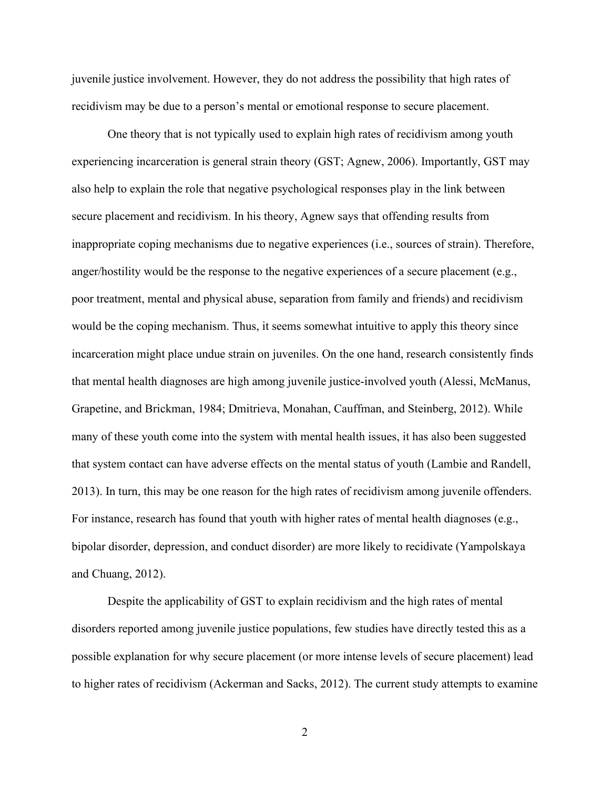juvenile justice involvement. However, they do not address the possibility that high rates of recidivism may be due to a person's mental or emotional response to secure placement.

One theory that is not typically used to explain high rates of recidivism among youth experiencing incarceration is general strain theory (GST; Agnew, 2006). Importantly, GST may also help to explain the role that negative psychological responses play in the link between secure placement and recidivism. In his theory, Agnew says that offending results from inappropriate coping mechanisms due to negative experiences (i.e., sources of strain). Therefore, anger/hostility would be the response to the negative experiences of a secure placement (e.g., poor treatment, mental and physical abuse, separation from family and friends) and recidivism would be the coping mechanism. Thus, it seems somewhat intuitive to apply this theory since incarceration might place undue strain on juveniles. On the one hand, research consistently finds that mental health diagnoses are high among juvenile justice-involved youth (Alessi, McManus, Grapetine, and Brickman, 1984; Dmitrieva, Monahan, Cauffman, and Steinberg, 2012). While many of these youth come into the system with mental health issues, it has also been suggested that system contact can have adverse effects on the mental status of youth (Lambie and Randell, 2013). In turn, this may be one reason for the high rates of recidivism among juvenile offenders. For instance, research has found that youth with higher rates of mental health diagnoses (e.g., bipolar disorder, depression, and conduct disorder) are more likely to recidivate (Yampolskaya and Chuang, 2012).

Despite the applicability of GST to explain recidivism and the high rates of mental disorders reported among juvenile justice populations, few studies have directly tested this as a possible explanation for why secure placement (or more intense levels of secure placement) lead to higher rates of recidivism (Ackerman and Sacks, 2012). The current study attempts to examine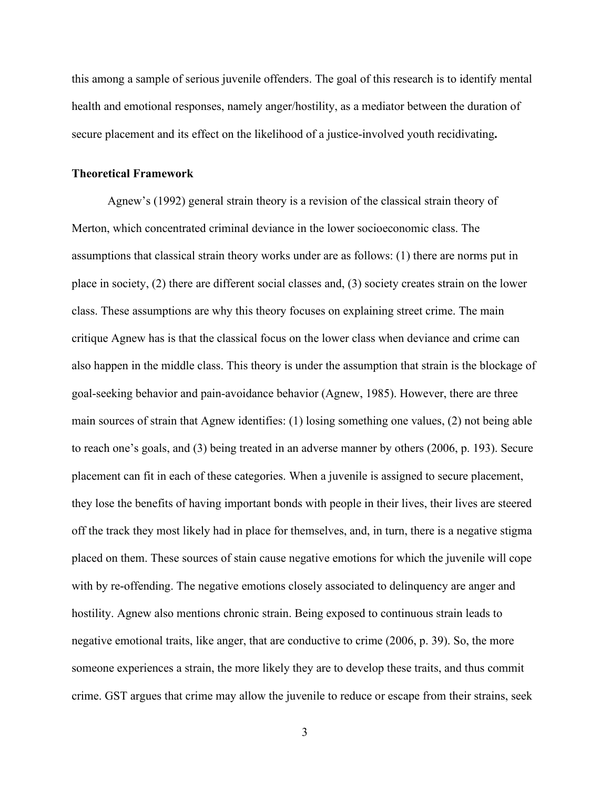this among a sample of serious juvenile offenders. The goal of this research is to identify mental health and emotional responses, namely anger/hostility, as a mediator between the duration of secure placement and its effect on the likelihood of a justice-involved youth recidivating**.**

#### <span id="page-10-0"></span>**Theoretical Framework**

Agnew's (1992) general strain theory is a revision of the classical strain theory of Merton, which concentrated criminal deviance in the lower socioeconomic class. The assumptions that classical strain theory works under are as follows: (1) there are norms put in place in society, (2) there are different social classes and, (3) society creates strain on the lower class. These assumptions are why this theory focuses on explaining street crime. The main critique Agnew has is that the classical focus on the lower class when deviance and crime can also happen in the middle class. This theory is under the assumption that strain is the blockage of goal-seeking behavior and pain-avoidance behavior (Agnew, 1985). However, there are three main sources of strain that Agnew identifies: (1) losing something one values, (2) not being able to reach one's goals, and (3) being treated in an adverse manner by others (2006, p. 193). Secure placement can fit in each of these categories. When a juvenile is assigned to secure placement, they lose the benefits of having important bonds with people in their lives, their lives are steered off the track they most likely had in place for themselves, and, in turn, there is a negative stigma placed on them. These sources of stain cause negative emotions for which the juvenile will cope with by re-offending. The negative emotions closely associated to delinquency are anger and hostility. Agnew also mentions chronic strain. Being exposed to continuous strain leads to negative emotional traits, like anger, that are conductive to crime (2006, p. 39). So, the more someone experiences a strain, the more likely they are to develop these traits, and thus commit crime. GST argues that crime may allow the juvenile to reduce or escape from their strains, seek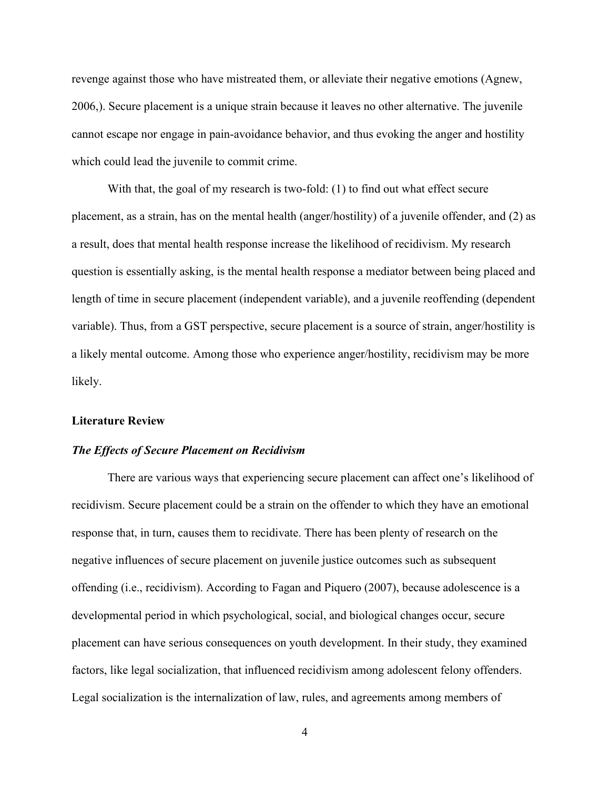revenge against those who have mistreated them, or alleviate their negative emotions (Agnew, 2006,). Secure placement is a unique strain because it leaves no other alternative. The juvenile cannot escape nor engage in pain-avoidance behavior, and thus evoking the anger and hostility which could lead the juvenile to commit crime.

With that, the goal of my research is two-fold: (1) to find out what effect secure placement, as a strain, has on the mental health (anger/hostility) of a juvenile offender, and (2) as a result, does that mental health response increase the likelihood of recidivism. My research question is essentially asking, is the mental health response a mediator between being placed and length of time in secure placement (independent variable), and a juvenile reoffending (dependent variable). Thus, from a GST perspective, secure placement is a source of strain, anger/hostility is a likely mental outcome. Among those who experience anger/hostility, recidivism may be more likely.

#### <span id="page-11-0"></span>**Literature Review**

#### <span id="page-11-1"></span>*The Effects of Secure Placement on Recidivism*

There are various ways that experiencing secure placement can affect one's likelihood of recidivism. Secure placement could be a strain on the offender to which they have an emotional response that, in turn, causes them to recidivate. There has been plenty of research on the negative influences of secure placement on juvenile justice outcomes such as subsequent offending (i.e., recidivism). According to Fagan and Piquero (2007), because adolescence is a developmental period in which psychological, social, and biological changes occur, secure placement can have serious consequences on youth development. In their study, they examined factors, like legal socialization, that influenced recidivism among adolescent felony offenders. Legal socialization is the internalization of law, rules, and agreements among members of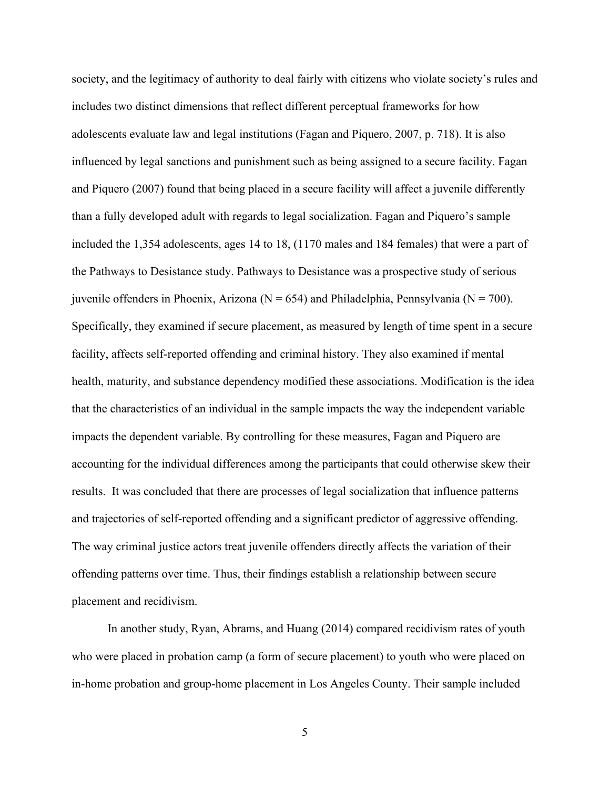society, and the legitimacy of authority to deal fairly with citizens who violate society's rules and includes two distinct dimensions that reflect different perceptual frameworks for how adolescents evaluate law and legal institutions (Fagan and Piquero, 2007, p. 718). It is also influenced by legal sanctions and punishment such as being assigned to a secure facility. Fagan and Piquero (2007) found that being placed in a secure facility will affect a juvenile differently than a fully developed adult with regards to legal socialization. Fagan and Piquero's sample included the 1,354 adolescents, ages 14 to 18, (1170 males and 184 females) that were a part of the Pathways to Desistance study. Pathways to Desistance was a prospective study of serious juvenile offenders in Phoenix, Arizona ( $N = 654$ ) and Philadelphia, Pennsylvania ( $N = 700$ ). Specifically, they examined if secure placement, as measured by length of time spent in a secure facility, affects self-reported offending and criminal history. They also examined if mental health, maturity, and substance dependency modified these associations. Modification is the idea that the characteristics of an individual in the sample impacts the way the independent variable impacts the dependent variable. By controlling for these measures, Fagan and Piquero are accounting for the individual differences among the participants that could otherwise skew their results. It was concluded that there are processes of legal socialization that influence patterns and trajectories of self-reported offending and a significant predictor of aggressive offending. The way criminal justice actors treat juvenile offenders directly affects the variation of their offending patterns over time. Thus, their findings establish a relationship between secure placement and recidivism.

In another study, Ryan, Abrams, and Huang (2014) compared recidivism rates of youth who were placed in probation camp (a form of secure placement) to youth who were placed on in-home probation and group-home placement in Los Angeles County. Their sample included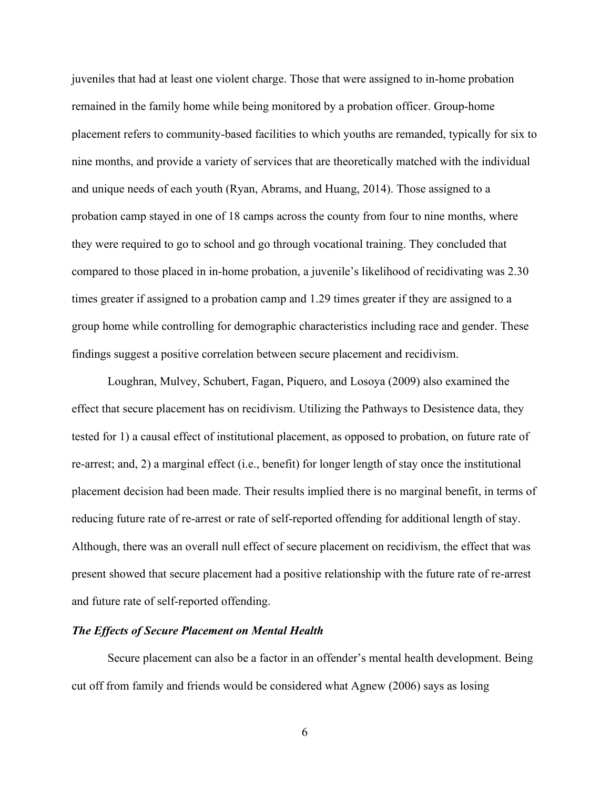juveniles that had at least one violent charge. Those that were assigned to in-home probation remained in the family home while being monitored by a probation officer. Group-home placement refers to community-based facilities to which youths are remanded, typically for six to nine months, and provide a variety of services that are theoretically matched with the individual and unique needs of each youth (Ryan, Abrams, and Huang, 2014). Those assigned to a probation camp stayed in one of 18 camps across the county from four to nine months, where they were required to go to school and go through vocational training. They concluded that compared to those placed in in-home probation, a juvenile's likelihood of recidivating was 2.30 times greater if assigned to a probation camp and 1.29 times greater if they are assigned to a group home while controlling for demographic characteristics including race and gender. These findings suggest a positive correlation between secure placement and recidivism.

Loughran, Mulvey, Schubert, Fagan, Piquero, and Losoya (2009) also examined the effect that secure placement has on recidivism. Utilizing the Pathways to Desistence data, they tested for 1) a causal effect of institutional placement, as opposed to probation, on future rate of re-arrest; and, 2) a marginal effect (i.e., benefit) for longer length of stay once the institutional placement decision had been made. Their results implied there is no marginal benefit, in terms of reducing future rate of re-arrest or rate of self-reported offending for additional length of stay. Although, there was an overall null effect of secure placement on recidivism, the effect that was present showed that secure placement had a positive relationship with the future rate of re-arrest and future rate of self-reported offending.

#### <span id="page-13-0"></span>*The Effects of Secure Placement on Mental Health*

Secure placement can also be a factor in an offender's mental health development. Being cut off from family and friends would be considered what Agnew (2006) says as losing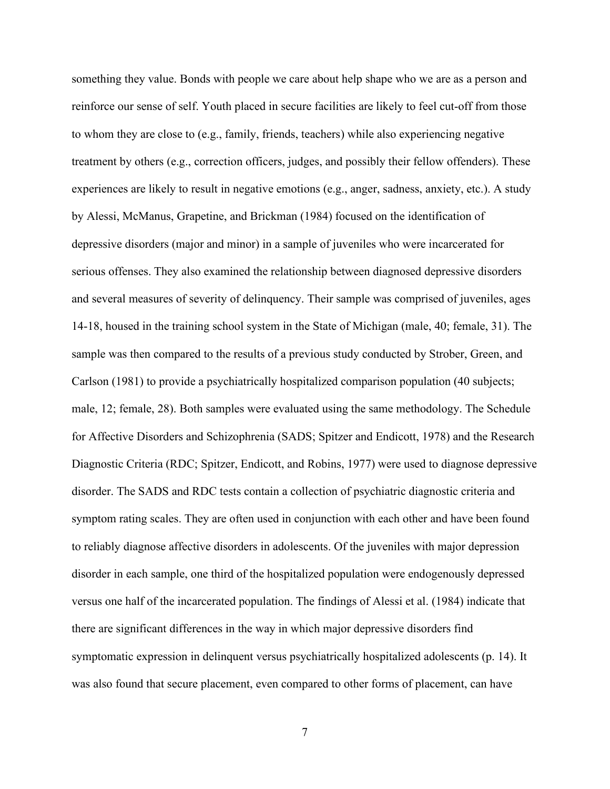something they value. Bonds with people we care about help shape who we are as a person and reinforce our sense of self. Youth placed in secure facilities are likely to feel cut-off from those to whom they are close to (e.g., family, friends, teachers) while also experiencing negative treatment by others (e.g., correction officers, judges, and possibly their fellow offenders). These experiences are likely to result in negative emotions (e.g., anger, sadness, anxiety, etc.). A study by Alessi, McManus, Grapetine, and Brickman (1984) focused on the identification of depressive disorders (major and minor) in a sample of juveniles who were incarcerated for serious offenses. They also examined the relationship between diagnosed depressive disorders and several measures of severity of delinquency. Their sample was comprised of juveniles, ages 14-18, housed in the training school system in the State of Michigan (male, 40; female, 31). The sample was then compared to the results of a previous study conducted by Strober, Green, and Carlson (1981) to provide a psychiatrically hospitalized comparison population (40 subjects; male, 12; female, 28). Both samples were evaluated using the same methodology. The Schedule for Affective Disorders and Schizophrenia (SADS; Spitzer and Endicott, 1978) and the Research Diagnostic Criteria (RDC; Spitzer, Endicott, and Robins, 1977) were used to diagnose depressive disorder. The SADS and RDC tests contain a collection of psychiatric diagnostic criteria and symptom rating scales. They are often used in conjunction with each other and have been found to reliably diagnose affective disorders in adolescents. Of the juveniles with major depression disorder in each sample, one third of the hospitalized population were endogenously depressed versus one half of the incarcerated population. The findings of Alessi et al. (1984) indicate that there are significant differences in the way in which major depressive disorders find symptomatic expression in delinquent versus psychiatrically hospitalized adolescents (p. 14). It was also found that secure placement, even compared to other forms of placement, can have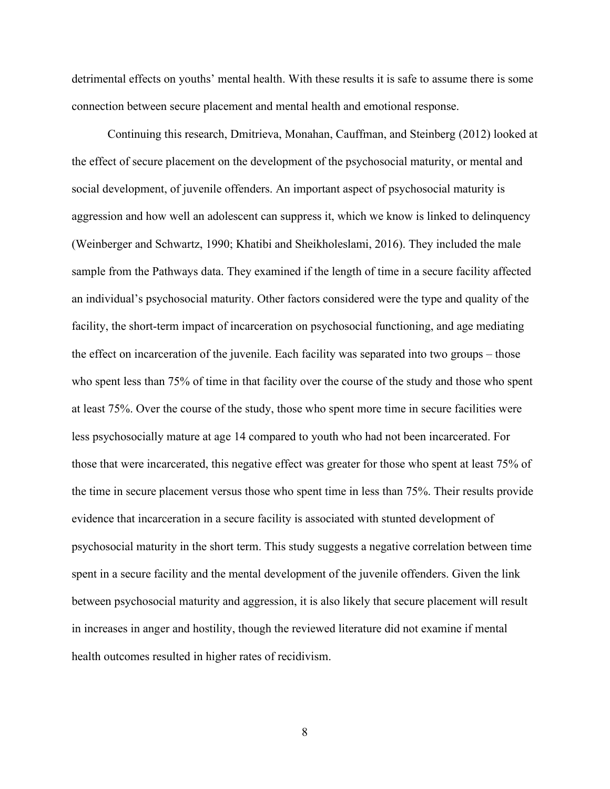detrimental effects on youths' mental health. With these results it is safe to assume there is some connection between secure placement and mental health and emotional response.

Continuing this research, Dmitrieva, Monahan, Cauffman, and Steinberg (2012) looked at the effect of secure placement on the development of the psychosocial maturity, or mental and social development, of juvenile offenders. An important aspect of psychosocial maturity is aggression and how well an adolescent can suppress it, which we know is linked to delinquency (Weinberger and Schwartz, 1990; Khatibi and Sheikholeslami, 2016). They included the male sample from the Pathways data. They examined if the length of time in a secure facility affected an individual's psychosocial maturity. Other factors considered were the type and quality of the facility, the short-term impact of incarceration on psychosocial functioning, and age mediating the effect on incarceration of the juvenile. Each facility was separated into two groups – those who spent less than 75% of time in that facility over the course of the study and those who spent at least 75%. Over the course of the study, those who spent more time in secure facilities were less psychosocially mature at age 14 compared to youth who had not been incarcerated. For those that were incarcerated, this negative effect was greater for those who spent at least 75% of the time in secure placement versus those who spent time in less than 75%. Their results provide evidence that incarceration in a secure facility is associated with stunted development of psychosocial maturity in the short term. This study suggests a negative correlation between time spent in a secure facility and the mental development of the juvenile offenders. Given the link between psychosocial maturity and aggression, it is also likely that secure placement will result in increases in anger and hostility, though the reviewed literature did not examine if mental health outcomes resulted in higher rates of recidivism.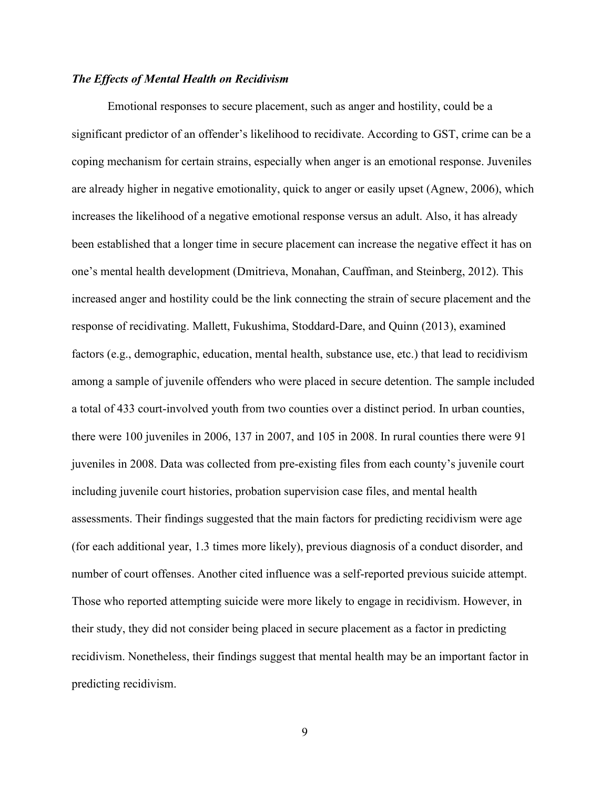#### <span id="page-16-0"></span>*The Effects of Mental Health on Recidivism*

Emotional responses to secure placement, such as anger and hostility, could be a significant predictor of an offender's likelihood to recidivate. According to GST, crime can be a coping mechanism for certain strains, especially when anger is an emotional response. Juveniles are already higher in negative emotionality, quick to anger or easily upset (Agnew, 2006), which increases the likelihood of a negative emotional response versus an adult. Also, it has already been established that a longer time in secure placement can increase the negative effect it has on one's mental health development (Dmitrieva, Monahan, Cauffman, and Steinberg, 2012). This increased anger and hostility could be the link connecting the strain of secure placement and the response of recidivating. Mallett, Fukushima, Stoddard-Dare, and Quinn (2013), examined factors (e.g., demographic, education, mental health, substance use, etc.) that lead to recidivism among a sample of juvenile offenders who were placed in secure detention. The sample included a total of 433 court-involved youth from two counties over a distinct period. In urban counties, there were 100 juveniles in 2006, 137 in 2007, and 105 in 2008. In rural counties there were 91 juveniles in 2008. Data was collected from pre-existing files from each county's juvenile court including juvenile court histories, probation supervision case files, and mental health assessments. Their findings suggested that the main factors for predicting recidivism were age (for each additional year, 1.3 times more likely), previous diagnosis of a conduct disorder, and number of court offenses. Another cited influence was a self-reported previous suicide attempt. Those who reported attempting suicide were more likely to engage in recidivism. However, in their study, they did not consider being placed in secure placement as a factor in predicting recidivism. Nonetheless, their findings suggest that mental health may be an important factor in predicting recidivism.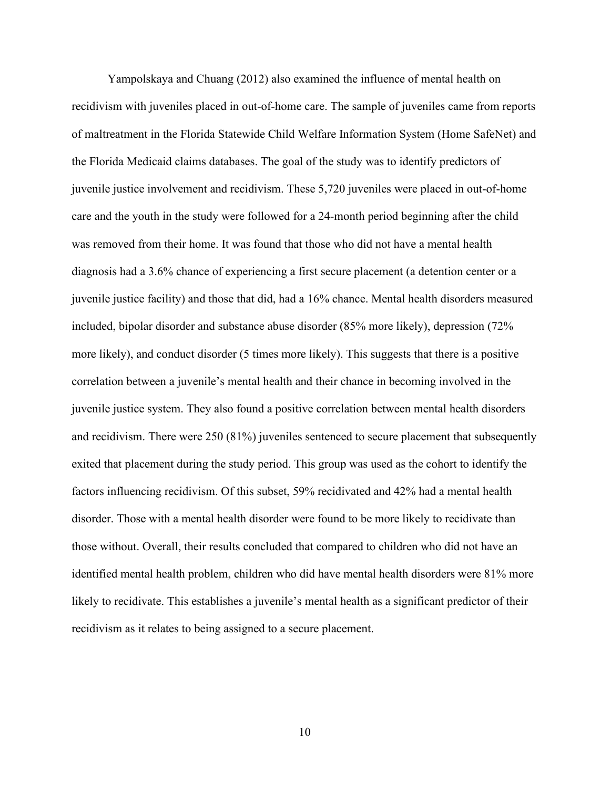Yampolskaya and Chuang (2012) also examined the influence of mental health on recidivism with juveniles placed in out-of-home care. The sample of juveniles came from reports of maltreatment in the Florida Statewide Child Welfare Information System (Home SafeNet) and the Florida Medicaid claims databases. The goal of the study was to identify predictors of juvenile justice involvement and recidivism. These 5,720 juveniles were placed in out-of-home care and the youth in the study were followed for a 24-month period beginning after the child was removed from their home. It was found that those who did not have a mental health diagnosis had a 3.6% chance of experiencing a first secure placement (a detention center or a juvenile justice facility) and those that did, had a 16% chance. Mental health disorders measured included, bipolar disorder and substance abuse disorder (85% more likely), depression (72% more likely), and conduct disorder (5 times more likely). This suggests that there is a positive correlation between a juvenile's mental health and their chance in becoming involved in the juvenile justice system. They also found a positive correlation between mental health disorders and recidivism. There were 250 (81%) juveniles sentenced to secure placement that subsequently exited that placement during the study period. This group was used as the cohort to identify the factors influencing recidivism. Of this subset, 59% recidivated and 42% had a mental health disorder. Those with a mental health disorder were found to be more likely to recidivate than those without. Overall, their results concluded that compared to children who did not have an identified mental health problem, children who did have mental health disorders were 81% more likely to recidivate. This establishes a juvenile's mental health as a significant predictor of their recidivism as it relates to being assigned to a secure placement.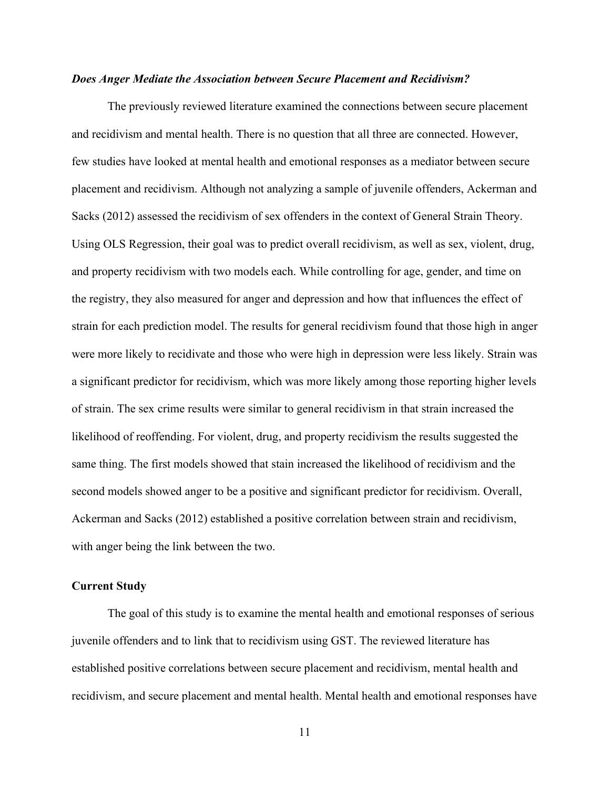#### <span id="page-18-0"></span>*Does Anger Mediate the Association between Secure Placement and Recidivism?*

The previously reviewed literature examined the connections between secure placement and recidivism and mental health. There is no question that all three are connected. However, few studies have looked at mental health and emotional responses as a mediator between secure placement and recidivism. Although not analyzing a sample of juvenile offenders, Ackerman and Sacks (2012) assessed the recidivism of sex offenders in the context of General Strain Theory. Using OLS Regression, their goal was to predict overall recidivism, as well as sex, violent, drug, and property recidivism with two models each. While controlling for age, gender, and time on the registry, they also measured for anger and depression and how that influences the effect of strain for each prediction model. The results for general recidivism found that those high in anger were more likely to recidivate and those who were high in depression were less likely. Strain was a significant predictor for recidivism, which was more likely among those reporting higher levels of strain. The sex crime results were similar to general recidivism in that strain increased the likelihood of reoffending. For violent, drug, and property recidivism the results suggested the same thing. The first models showed that stain increased the likelihood of recidivism and the second models showed anger to be a positive and significant predictor for recidivism. Overall, Ackerman and Sacks (2012) established a positive correlation between strain and recidivism, with anger being the link between the two.

#### <span id="page-18-1"></span>**Current Study**

The goal of this study is to examine the mental health and emotional responses of serious juvenile offenders and to link that to recidivism using GST. The reviewed literature has established positive correlations between secure placement and recidivism, mental health and recidivism, and secure placement and mental health. Mental health and emotional responses have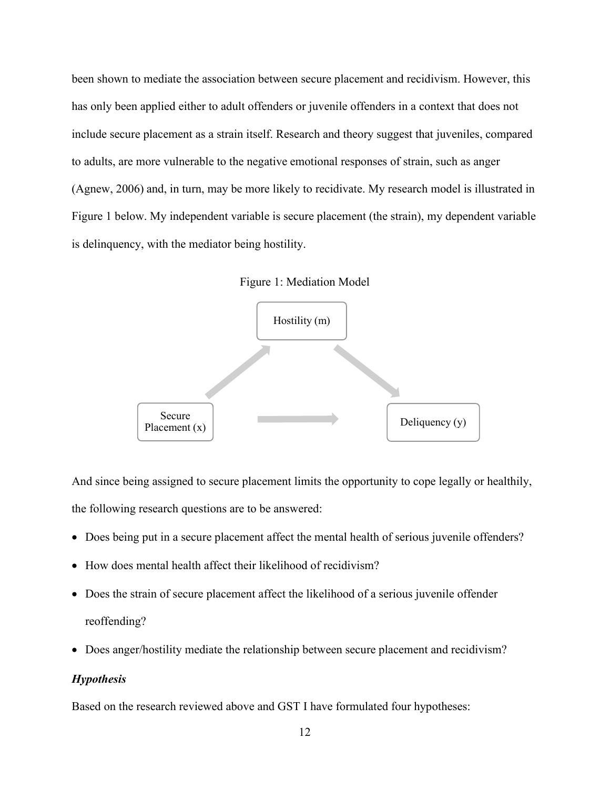been shown to mediate the association between secure placement and recidivism. However, this has only been applied either to adult offenders or juvenile offenders in a context that does not include secure placement as a strain itself. Research and theory suggest that juveniles, compared to adults, are more vulnerable to the negative emotional responses of strain, such as anger (Agnew, 2006) and, in turn, may be more likely to recidivate. My research model is illustrated in Figure 1 below. My independent variable is secure placement (the strain), my dependent variable is delinquency, with the mediator being hostility.

Figure 1: Mediation Model



And since being assigned to secure placement limits the opportunity to cope legally or healthily, the following research questions are to be answered:

- Does being put in a secure placement affect the mental health of serious juvenile offenders?
- How does mental health affect their likelihood of recidivism?
- Does the strain of secure placement affect the likelihood of a serious juvenile offender reoffending?
- Does anger/hostility mediate the relationship between secure placement and recidivism?

#### <span id="page-19-0"></span>*Hypothesis*

Based on the research reviewed above and GST I have formulated four hypotheses: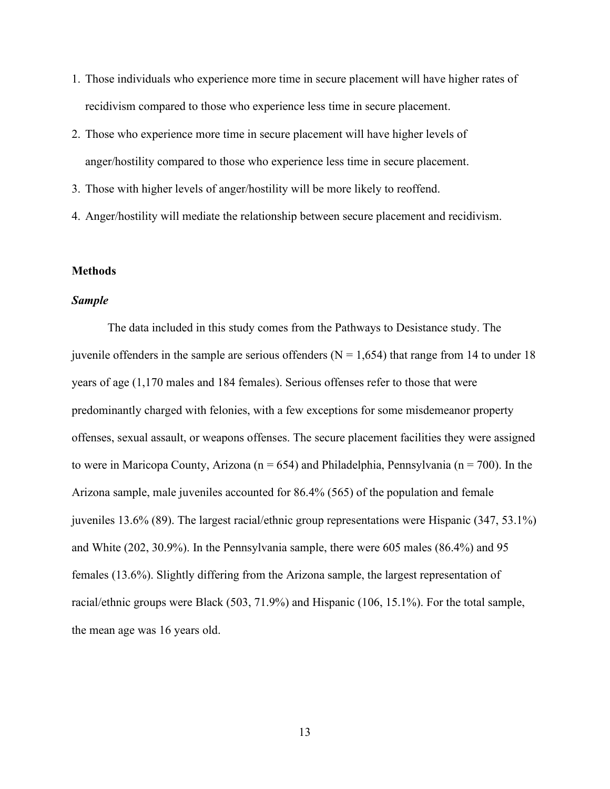- 1. Those individuals who experience more time in secure placement will have higher rates of recidivism compared to those who experience less time in secure placement.
- 2. Those who experience more time in secure placement will have higher levels of anger/hostility compared to those who experience less time in secure placement.
- 3. Those with higher levels of anger/hostility will be more likely to reoffend.
- 4. Anger/hostility will mediate the relationship between secure placement and recidivism.

#### <span id="page-20-0"></span>**Methods**

#### <span id="page-20-1"></span>*Sample*

The data included in this study comes from the Pathways to Desistance study. The juvenile offenders in the sample are serious offenders ( $N = 1,654$ ) that range from 14 to under 18 years of age (1,170 males and 184 females). Serious offenses refer to those that were predominantly charged with felonies, with a few exceptions for some misdemeanor property offenses, sexual assault, or weapons offenses. The secure placement facilities they were assigned to were in Maricopa County, Arizona ( $n = 654$ ) and Philadelphia, Pennsylvania ( $n = 700$ ). In the Arizona sample, male juveniles accounted for 86.4% (565) of the population and female juveniles 13.6% (89). The largest racial/ethnic group representations were Hispanic (347, 53.1%) and White (202, 30.9%). In the Pennsylvania sample, there were 605 males (86.4%) and 95 females (13.6%). Slightly differing from the Arizona sample, the largest representation of racial/ethnic groups were Black (503, 71.9%) and Hispanic (106, 15.1%). For the total sample, the mean age was 16 years old.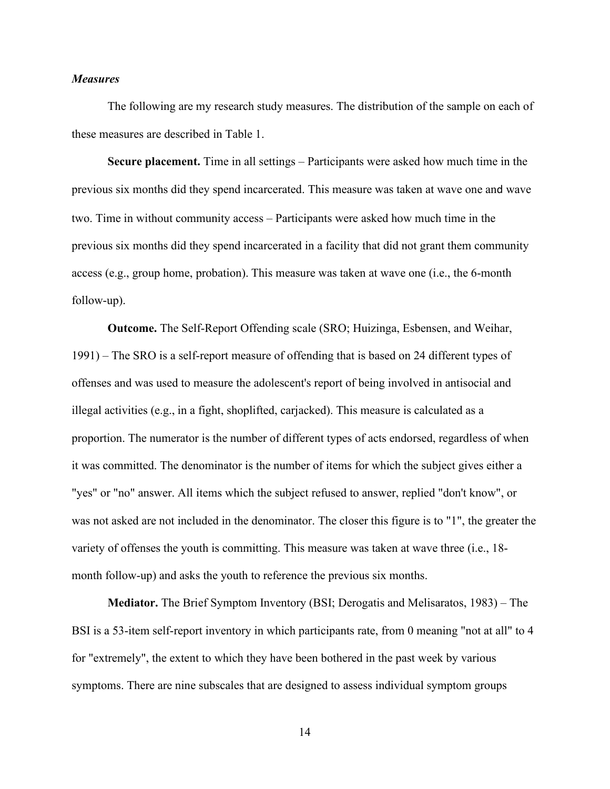#### <span id="page-21-0"></span>*Measures*

The following are my research study measures. The distribution of the sample on each of these measures are described in Table 1.

<span id="page-21-1"></span>**Secure placement.** Time in all settings – Participants were asked how much time in the previous six months did they spend incarcerated. This measure was taken at wave one and wave two. Time in without community access – Participants were asked how much time in the previous six months did they spend incarcerated in a facility that did not grant them community access (e.g., group home, probation). This measure was taken at wave one (i.e., the 6-month follow-up).

<span id="page-21-2"></span>**Outcome.** The Self-Report Offending scale (SRO; Huizinga, Esbensen, and Weihar, 1991) – The SRO is a self-report measure of offending that is based on 24 different types of offenses and was used to measure the adolescent's report of being involved in antisocial and illegal activities (e.g., in a fight, shoplifted, carjacked). This measure is calculated as a proportion. The numerator is the number of different types of acts endorsed, regardless of when it was committed. The denominator is the number of items for which the subject gives either a "yes" or "no" answer. All items which the subject refused to answer, replied "don't know", or was not asked are not included in the denominator. The closer this figure is to "1", the greater the variety of offenses the youth is committing. This measure was taken at wave three (i.e., 18 month follow-up) and asks the youth to reference the previous six months.

<span id="page-21-3"></span>**Mediator.** The Brief Symptom Inventory (BSI; Derogatis and Melisaratos, 1983) – The BSI is a 53-item self-report inventory in which participants rate, from 0 meaning "not at all" to 4 for "extremely", the extent to which they have been bothered in the past week by various symptoms. There are nine subscales that are designed to assess individual symptom groups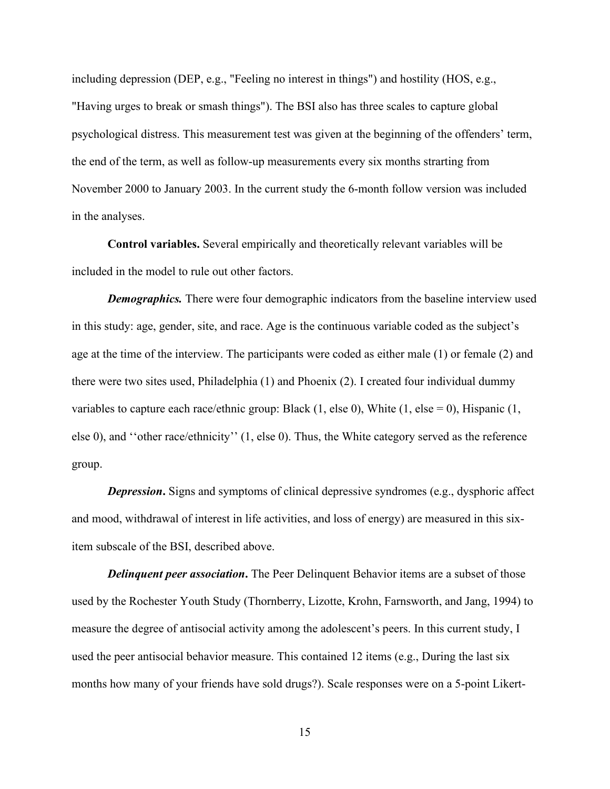including depression (DEP, e.g., "Feeling no interest in things") and hostility (HOS, e.g., "Having urges to break or smash things"). The BSI also has three scales to capture global psychological distress. This measurement test was given at the beginning of the offenders' term, the end of the term, as well as follow-up measurements every six months strarting from November 2000 to January 2003. In the current study the 6-month follow version was included in the analyses.

<span id="page-22-0"></span>**Control variables.** Several empirically and theoretically relevant variables will be included in the model to rule out other factors.

*Demographics*. There were four demographic indicators from the baseline interview used in this study: age, gender, site, and race. Age is the continuous variable coded as the subject's age at the time of the interview. The participants were coded as either male (1) or female (2) and there were two sites used, Philadelphia (1) and Phoenix (2). I created four individual dummy variables to capture each race/ethnic group: Black  $(1,$  else 0), White  $(1,$  else = 0), Hispanic  $(1,$ else 0), and ''other race/ethnicity'' (1, else 0). Thus, the White category served as the reference group.

*Depression*. Signs and symptoms of clinical depressive syndromes (e.g., dysphoric affect and mood, withdrawal of interest in life activities, and loss of energy) are measured in this sixitem subscale of the BSI, described above.

*Delinquent peer association***.** The Peer Delinquent Behavior items are a subset of those used by the Rochester Youth Study (Thornberry, Lizotte, Krohn, Farnsworth, and Jang, 1994) to measure the degree of antisocial activity among the adolescent's peers. In this current study, I used the peer antisocial behavior measure. This contained 12 items (e.g., During the last six months how many of your friends have sold drugs?). Scale responses were on a 5-point Likert-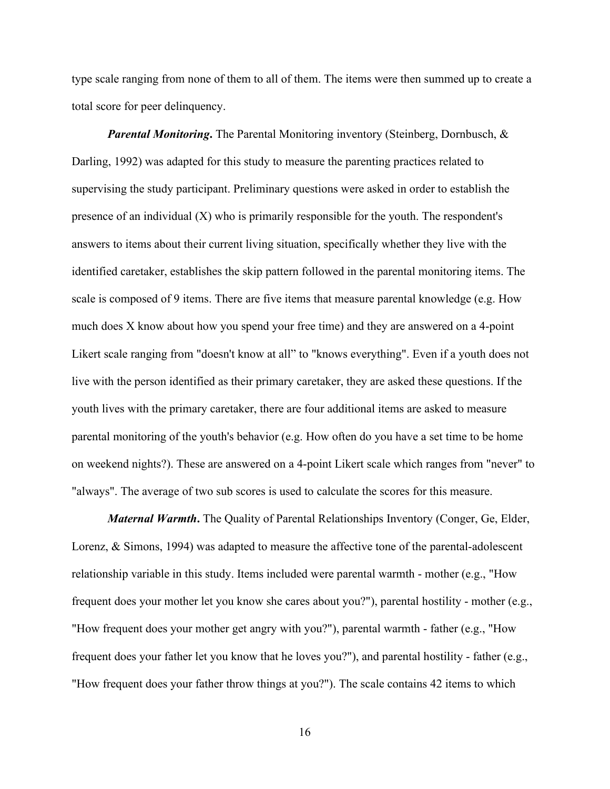type scale ranging from none of them to all of them. The items were then summed up to create a total score for peer delinquency.

*Parental Monitoring***.** The Parental Monitoring inventory (Steinberg, Dornbusch, & Darling, 1992) was adapted for this study to measure the parenting practices related to supervising the study participant. Preliminary questions were asked in order to establish the presence of an individual  $(X)$  who is primarily responsible for the youth. The respondent's answers to items about their current living situation, specifically whether they live with the identified caretaker, establishes the skip pattern followed in the parental monitoring items. The scale is composed of 9 items. There are five items that measure parental knowledge (e.g. How much does X know about how you spend your free time) and they are answered on a 4-point Likert scale ranging from "doesn't know at all" to "knows everything". Even if a youth does not live with the person identified as their primary caretaker, they are asked these questions. If the youth lives with the primary caretaker, there are four additional items are asked to measure parental monitoring of the youth's behavior (e.g. How often do you have a set time to be home on weekend nights?). These are answered on a 4-point Likert scale which ranges from "never" to "always". The average of two sub scores is used to calculate the scores for this measure.

*Maternal Warmth***.** The Quality of Parental Relationships Inventory (Conger, Ge, Elder, Lorenz, & Simons, 1994) was adapted to measure the affective tone of the parental-adolescent relationship variable in this study. Items included were parental warmth - mother (e.g., "How frequent does your mother let you know she cares about you?"), parental hostility - mother (e.g., "How frequent does your mother get angry with you?"), parental warmth - father (e.g., "How frequent does your father let you know that he loves you?"), and parental hostility - father (e.g., "How frequent does your father throw things at you?"). The scale contains 42 items to which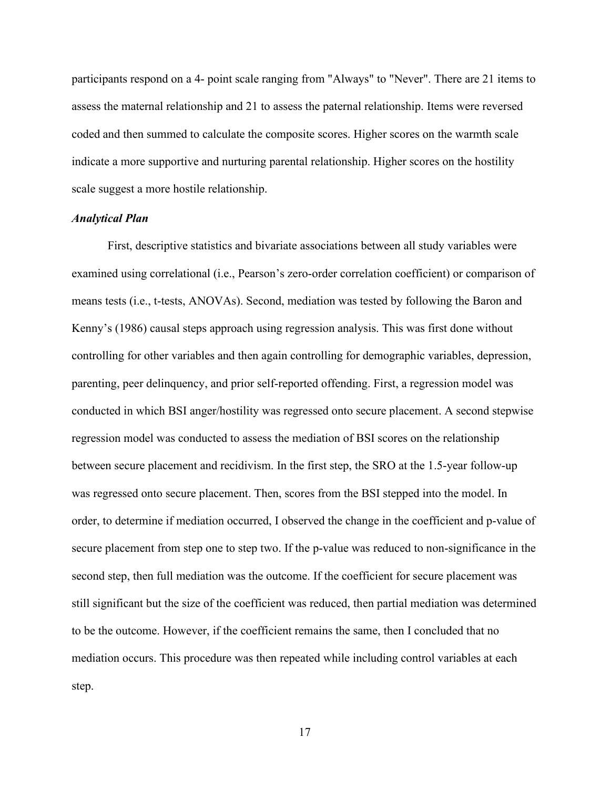participants respond on a 4- point scale ranging from "Always" to "Never". There are 21 items to assess the maternal relationship and 21 to assess the paternal relationship. Items were reversed coded and then summed to calculate the composite scores. Higher scores on the warmth scale indicate a more supportive and nurturing parental relationship. Higher scores on the hostility scale suggest a more hostile relationship.

#### <span id="page-24-0"></span>*Analytical Plan*

First, descriptive statistics and bivariate associations between all study variables were examined using correlational (i.e., Pearson's zero-order correlation coefficient) or comparison of means tests (i.e., t-tests, ANOVAs). Second, mediation was tested by following the Baron and Kenny's (1986) causal steps approach using regression analysis. This was first done without controlling for other variables and then again controlling for demographic variables, depression, parenting, peer delinquency, and prior self-reported offending. First, a regression model was conducted in which BSI anger/hostility was regressed onto secure placement. A second stepwise regression model was conducted to assess the mediation of BSI scores on the relationship between secure placement and recidivism. In the first step, the SRO at the 1.5-year follow-up was regressed onto secure placement. Then, scores from the BSI stepped into the model. In order, to determine if mediation occurred, I observed the change in the coefficient and p-value of secure placement from step one to step two. If the p-value was reduced to non-significance in the second step, then full mediation was the outcome. If the coefficient for secure placement was still significant but the size of the coefficient was reduced, then partial mediation was determined to be the outcome. However, if the coefficient remains the same, then I concluded that no mediation occurs. This procedure was then repeated while including control variables at each step.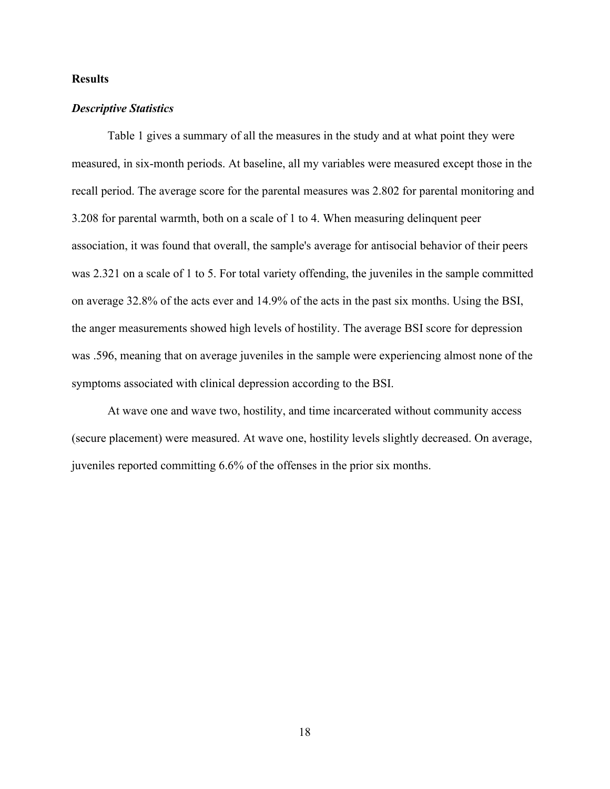#### <span id="page-25-0"></span>**Results**

#### <span id="page-25-1"></span>*Descriptive Statistics*

Table 1 gives a summary of all the measures in the study and at what point they were measured, in six-month periods. At baseline, all my variables were measured except those in the recall period. The average score for the parental measures was 2.802 for parental monitoring and 3.208 for parental warmth, both on a scale of 1 to 4. When measuring delinquent peer association, it was found that overall, the sample's average for antisocial behavior of their peers was 2.321 on a scale of 1 to 5. For total variety offending, the juveniles in the sample committed on average 32.8% of the acts ever and 14.9% of the acts in the past six months. Using the BSI, the anger measurements showed high levels of hostility. The average BSI score for depression was .596, meaning that on average juveniles in the sample were experiencing almost none of the symptoms associated with clinical depression according to the BSI.

At wave one and wave two, hostility, and time incarcerated without community access (secure placement) were measured. At wave one, hostility levels slightly decreased. On average, juveniles reported committing 6.6% of the offenses in the prior six months.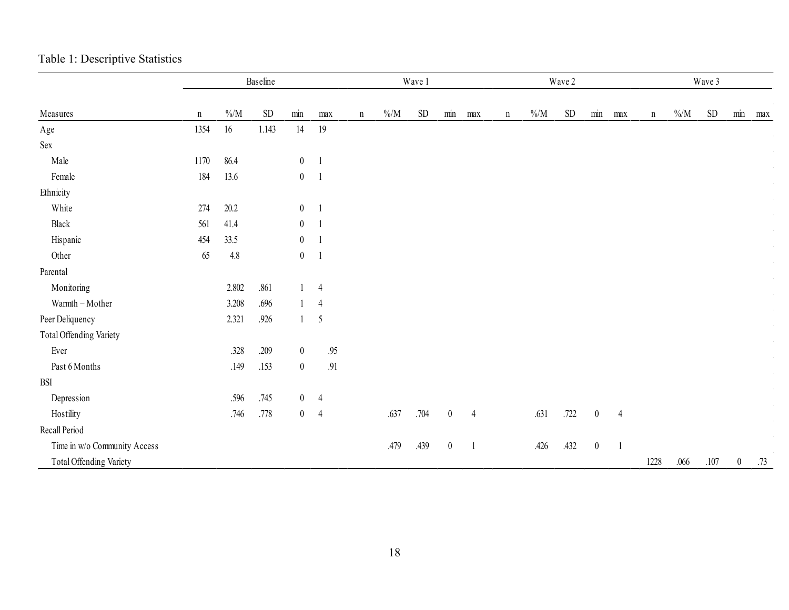|                              |             |          | Baseline  |                  |                |             | Wave 1   |      |                  |                | Wave 2      |          |                 |                  | Wave 3         |             |          |           |                  |     |
|------------------------------|-------------|----------|-----------|------------------|----------------|-------------|----------|------|------------------|----------------|-------------|----------|-----------------|------------------|----------------|-------------|----------|-----------|------------------|-----|
| Measures                     | $\mathbf n$ | $\% / M$ | <b>SD</b> | $\min$           | max            | $\mathbf n$ | $\% / M$ | SD   | min              | max            | $\mathbf n$ | $\% / M$ | SD <sub>1</sub> | min              | max            | $\mathbf n$ | $\% / M$ | <b>SD</b> | min              | max |
| $_{\rm Age}$                 | 1354        | $16\,$   | 1.143     | 14               | 19             |             |          |      |                  |                |             |          |                 |                  |                |             |          |           |                  |     |
| Sex                          |             |          |           |                  |                |             |          |      |                  |                |             |          |                 |                  |                |             |          |           |                  |     |
| Male                         | 1170        | 86.4     |           | $\boldsymbol{0}$ | $\overline{1}$ |             |          |      |                  |                |             |          |                 |                  |                |             |          |           |                  |     |
| Female                       | 184         | 13.6     |           | $\boldsymbol{0}$ | $\overline{1}$ |             |          |      |                  |                |             |          |                 |                  |                |             |          |           |                  |     |
| Ethnicity                    |             |          |           |                  |                |             |          |      |                  |                |             |          |                 |                  |                |             |          |           |                  |     |
| White                        | 274         | $20.2\,$ |           | $\boldsymbol{0}$ | $\overline{1}$ |             |          |      |                  |                |             |          |                 |                  |                |             |          |           |                  |     |
| ${\rm Black}$                | 561         | 41.4     |           | $\boldsymbol{0}$ | - 1            |             |          |      |                  |                |             |          |                 |                  |                |             |          |           |                  |     |
| Hispanic                     | 454         | 33.5     |           | $\boldsymbol{0}$ | $\overline{1}$ |             |          |      |                  |                |             |          |                 |                  |                |             |          |           |                  |     |
| Other                        | 65          | $4.8\,$  |           | $\boldsymbol{0}$ | $\overline{1}$ |             |          |      |                  |                |             |          |                 |                  |                |             |          |           |                  |     |
| Parental                     |             |          |           |                  |                |             |          |      |                  |                |             |          |                 |                  |                |             |          |           |                  |     |
| Monitoring                   |             | 2.802    | .861      |                  | $\overline{4}$ |             |          |      |                  |                |             |          |                 |                  |                |             |          |           |                  |     |
| Warmth - Mother              |             | 3.208    | .696      | $\mathbf{1}$     | $\overline{4}$ |             |          |      |                  |                |             |          |                 |                  |                |             |          |           |                  |     |
| Peer Deliquency              |             | 2.321    | .926      |                  | $1 \quad 5$    |             |          |      |                  |                |             |          |                 |                  |                |             |          |           |                  |     |
| Total Offending Variety      |             |          |           |                  |                |             |          |      |                  |                |             |          |                 |                  |                |             |          |           |                  |     |
| Ever                         |             | .328     | .209      | $\boldsymbol{0}$ | $.95\,$        |             |          |      |                  |                |             |          |                 |                  |                |             |          |           |                  |     |
| Past 6 Months                |             | .149     | .153      | $\boldsymbol{0}$ | .91            |             |          |      |                  |                |             |          |                 |                  |                |             |          |           |                  |     |
| <b>BSI</b>                   |             |          |           |                  |                |             |          |      |                  |                |             |          |                 |                  |                |             |          |           |                  |     |
| Depression                   |             | .596     | .745      | $\overline{0}$   | $\overline{4}$ |             |          |      |                  |                |             |          |                 |                  |                |             |          |           |                  |     |
| Hostility                    |             | .746     | $.778\,$  | $\boldsymbol{0}$ | $\overline{4}$ |             | .637     | .704 | $\boldsymbol{0}$ | $\overline{4}$ |             | .631     | .722            | $\boldsymbol{0}$ | $\overline{4}$ |             |          |           |                  |     |
| Recall Period                |             |          |           |                  |                |             |          |      |                  |                |             |          |                 |                  |                |             |          |           |                  |     |
| Time in w/o Community Access |             |          |           |                  |                |             | .479     | .439 | $\boldsymbol{0}$ | -1             |             | .426     | .432            | $\boldsymbol{0}$ |                |             |          |           |                  |     |
| Total Offending Variety      |             |          |           |                  |                |             |          |      |                  |                |             |          |                 |                  |                | 1228        | .066     | $.107$    | $\boldsymbol{0}$ | .73 |

# Table 1: Descriptive Statistics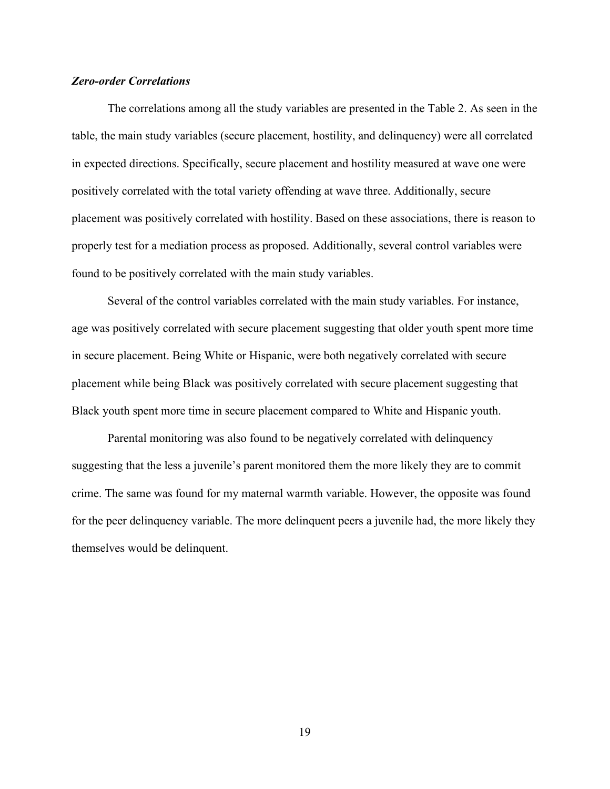#### <span id="page-27-0"></span>*Zero-order Correlations*

The correlations among all the study variables are presented in the Table 2. As seen in the table, the main study variables (secure placement, hostility, and delinquency) were all correlated in expected directions. Specifically, secure placement and hostility measured at wave one were positively correlated with the total variety offending at wave three. Additionally, secure placement was positively correlated with hostility. Based on these associations, there is reason to properly test for a mediation process as proposed. Additionally, several control variables were found to be positively correlated with the main study variables.

Several of the control variables correlated with the main study variables. For instance, age was positively correlated with secure placement suggesting that older youth spent more time in secure placement. Being White or Hispanic, were both negatively correlated with secure placement while being Black was positively correlated with secure placement suggesting that Black youth spent more time in secure placement compared to White and Hispanic youth.

Parental monitoring was also found to be negatively correlated with delinquency suggesting that the less a juvenile's parent monitored them the more likely they are to commit crime. The same was found for my maternal warmth variable. However, the opposite was found for the peer delinquency variable. The more delinquent peers a juvenile had, the more likely they themselves would be delinquent.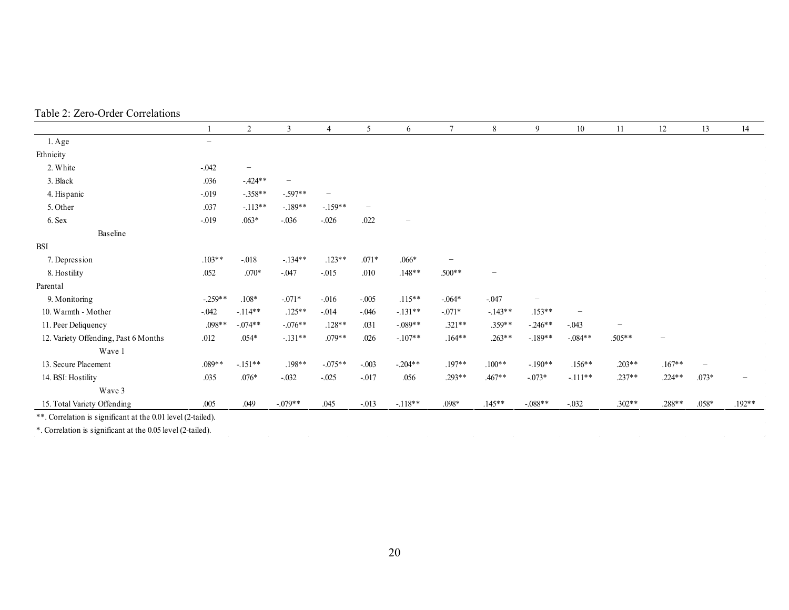|                                                              |                          | $\overline{2}$           | $\mathfrak{Z}$           | $\overline{4}$           | 5                        | 6                        | $\boldsymbol{7}$         | $\,$ 8 $\,$              | 9         | $10\,$                   | 11       | $12\,$                   | 13                       | 14              |
|--------------------------------------------------------------|--------------------------|--------------------------|--------------------------|--------------------------|--------------------------|--------------------------|--------------------------|--------------------------|-----------|--------------------------|----------|--------------------------|--------------------------|-----------------|
| 1. Age                                                       | $\overline{\phantom{0}}$ |                          |                          |                          |                          |                          |                          |                          |           |                          |          |                          |                          |                 |
| Ethnicity                                                    |                          |                          |                          |                          |                          |                          |                          |                          |           |                          |          |                          |                          |                 |
| 2. White                                                     | $-.042$                  | $\overline{\phantom{a}}$ |                          |                          |                          |                          |                          |                          |           |                          |          |                          |                          |                 |
| 3. Black                                                     | .036                     | $-424**$                 | $\overline{\phantom{0}}$ |                          |                          |                          |                          |                          |           |                          |          |                          |                          |                 |
| 4. Hispanic                                                  | $-.019$                  | $-.358**$                | $-.597**$                | $\overline{\phantom{0}}$ |                          |                          |                          |                          |           |                          |          |                          |                          |                 |
| 5. Other                                                     | .037                     | $-113**$                 | $-.189**$                | $-159**$                 | $\overline{\phantom{m}}$ |                          |                          |                          |           |                          |          |                          |                          | $\sim 10^{-11}$ |
| 6. Sex                                                       | $-0.019$                 | $.063*$                  | $-.036$                  | $-.026$                  | .022                     | $\overline{\phantom{m}}$ |                          |                          |           |                          |          |                          |                          | $\sim$          |
| Baseline                                                     |                          |                          |                          |                          |                          |                          |                          |                          |           |                          |          |                          |                          | $\sim$          |
| <b>BSI</b>                                                   |                          |                          |                          |                          |                          |                          |                          |                          |           |                          |          |                          |                          | $\sim 10^{-11}$ |
| 7. Depression                                                | $.103**$                 | $-.018$                  | $-.134**$                | $.123**$                 | $.071*$                  | $.066*$                  | $\overline{\phantom{0}}$ |                          |           |                          |          |                          |                          | $\sim 10^{-11}$ |
| 8. Hostility                                                 | .052                     | $.070*$                  | $-.047$                  | $-.015$                  | .010                     | $.148**$                 | $.500**$                 | $\overline{\phantom{0}}$ |           |                          |          |                          |                          | $\sim 10^{-11}$ |
| Parental                                                     |                          |                          |                          |                          |                          |                          |                          |                          |           |                          |          |                          |                          |                 |
| 9. Monitoring                                                | $-.259**$                | $.108*$                  | $-.071*$                 | $-0.016$                 | $-.005$                  | $.115**$                 | $-.064*$                 | $-.047$                  |           |                          |          |                          |                          |                 |
| 10. Warmth - Mother                                          | $-.042$                  | $-114**$                 | $.125**$                 | $-.014$                  | $-.046$                  | $-.131**$                | $-.071*$                 | $-143**$                 | $.153**$  | $\overline{\phantom{0}}$ |          |                          |                          |                 |
| 11. Peer Deliquency                                          | $.098**$                 | $-.074**$                | $-.076**$                | $.128**$                 | .031                     | $-.089**$                | $.321**$                 | $.359**$                 | $-.246**$ | $-.043$                  |          |                          |                          |                 |
| 12. Variety Offending, Past 6 Months                         | .012                     | $.054*$                  | $-.131**$                | $.079**$                 | .026                     | $-.107**$                | $.164**$                 | $.263**$                 | $-189**$  | $-.084**$                | $.505**$ | $\overline{\phantom{0}}$ |                          |                 |
| Wave 1                                                       |                          |                          |                          |                          |                          |                          |                          |                          |           |                          |          |                          |                          |                 |
| 13. Secure Placement                                         | .089**                   | $-.151**$                | $.198**$                 | $-.075**$                | $-.003$                  | $-.204**$                | $.197**$                 | $.100**$                 | $-.190**$ | $.156**$                 | $.203**$ | $.167**$                 | $\overline{\phantom{m}}$ |                 |
| 14. BSI: Hostility                                           | .035                     | $.076*$                  | $-.032$                  | $-.025$                  | $-.017$                  | .056                     | $.293**$                 | $.467**$                 | $-.073*$  | $-111**$                 | $.237**$ | $.224**$                 | $.073*$                  |                 |
| Wave 3                                                       |                          |                          |                          |                          |                          |                          |                          |                          |           |                          |          |                          |                          |                 |
| 15. Total Variety Offending                                  | .005                     | .049                     | $-.079**$                | .045                     | $-.013$                  | $-118**$                 | $.098*$                  | $.145**$                 | $-.088**$ | $-.032$                  | $.302**$ | .288**                   | $.058*$                  | $.192**$        |
| **. Correlation is significant at the 0.01 level (2-tailed). |                          |                          |                          |                          |                          |                          |                          |                          |           |                          |          |                          |                          |                 |
| *. Correlation is significant at the 0.05 level (2-tailed).  |                          |                          |                          |                          |                          |                          |                          |                          |           |                          |          |                          |                          |                 |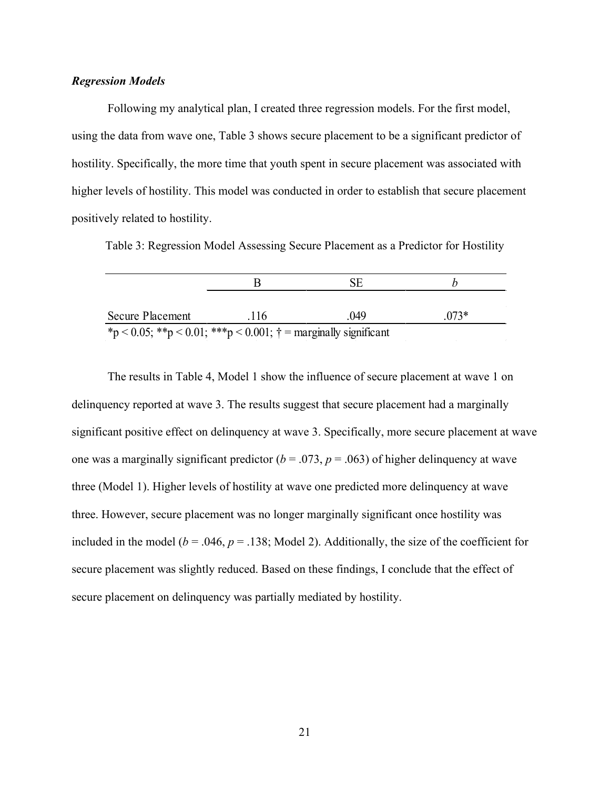#### <span id="page-29-0"></span>*Regression Models*

Following my analytical plan, I created three regression models. For the first model, using the data from wave one, Table 3 shows secure placement to be a significant predictor of hostility. Specifically, the more time that youth spent in secure placement was associated with higher levels of hostility. This model was conducted in order to establish that secure placement positively related to hostility.

Table 3: Regression Model Assessing Secure Placement as a Predictor for Hostility

|                                                                         | н   | SE.  |        |  |  |  |  |  |  |
|-------------------------------------------------------------------------|-----|------|--------|--|--|--|--|--|--|
| Secure Placement                                                        | 116 | .049 | $073*$ |  |  |  |  |  |  |
| *p < 0.05; **p < 0.01; ***p < 0.001; $\dagger$ = marginally significant |     |      |        |  |  |  |  |  |  |

The results in Table 4, Model 1 show the influence of secure placement at wave 1 on delinquency reported at wave 3. The results suggest that secure placement had a marginally significant positive effect on delinquency at wave 3. Specifically, more secure placement at wave one was a marginally significant predictor ( $b = .073$ ,  $p = .063$ ) of higher delinquency at wave three (Model 1). Higher levels of hostility at wave one predicted more delinquency at wave three. However, secure placement was no longer marginally significant once hostility was included in the model ( $b = .046$ ,  $p = .138$ ; Model 2). Additionally, the size of the coefficient for secure placement was slightly reduced. Based on these findings, I conclude that the effect of secure placement on delinquency was partially mediated by hostility.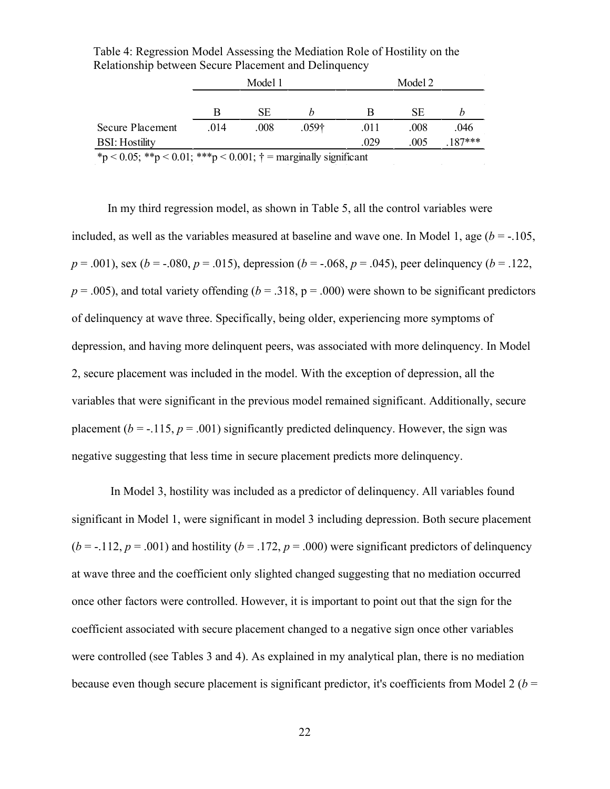|                                                                                                                                     |      | Model 1             |                                   |      | Model 2 |           |
|-------------------------------------------------------------------------------------------------------------------------------------|------|---------------------|-----------------------------------|------|---------|-----------|
|                                                                                                                                     |      |                     |                                   |      |         |           |
|                                                                                                                                     | B    | SЕ                  |                                   |      | SЕ      |           |
| <b>Secure Placement</b>                                                                                                             | .014 | .008                | .059 <sup>†</sup>                 | .011 | .008    | .046      |
| <b>BSI:</b> Hostility                                                                                                               |      |                     |                                   | .029 | .005    | $.187***$ |
| $\mathbf{a}$ . $\mathbf{a}$ . $\mathbf{a}$ . $\mathbf{a}$ . $\mathbf{a}$<br>$\sim$ $\sim$ $\sim$ $\sim$ $\sim$ $\sim$ $\sim$ $\sim$ |      | $\sim$ 0.001 $\sim$ | $\cdot$ 11 $\cdot$ $\cdot$ $\sim$ |      |         |           |

Table 4: Regression Model Assessing the Mediation Role of Hostility on the Relationship between Secure Placement and Delinquency

 $\frac{}{\ast} p < 0.05; \frac{}{\ast} p < 0.01; \frac{}{\ast} \frac{}{\ast} p < 0.001; \frac{}{\ast} =$  marginally significant

In my third regression model, as shown in Table 5, all the control variables were included, as well as the variables measured at baseline and wave one. In Model 1, age  $(b = -105,$  $p = .001$ ), sex (*b* = -.080,  $p = .015$ ), depression (*b* = -.068,  $p = .045$ ), peer delinquency (*b* = .122,  $p = .005$ ), and total variety offending ( $b = .318$ ,  $p = .000$ ) were shown to be significant predictors of delinquency at wave three. Specifically, being older, experiencing more symptoms of depression, and having more delinquent peers, was associated with more delinquency. In Model 2, secure placement was included in the model. With the exception of depression, all the variables that were significant in the previous model remained significant. Additionally, secure placement ( $b = -115$ ,  $p = .001$ ) significantly predicted delinquency. However, the sign was negative suggesting that less time in secure placement predicts more delinquency.

In Model 3, hostility was included as a predictor of delinquency. All variables found significant in Model 1, were significant in model 3 including depression. Both secure placement  $(b = -112, p = .001)$  and hostility  $(b = .172, p = .000)$  were significant predictors of delinquency at wave three and the coefficient only slighted changed suggesting that no mediation occurred once other factors were controlled. However, it is important to point out that the sign for the coefficient associated with secure placement changed to a negative sign once other variables were controlled (see Tables 3 and 4). As explained in my analytical plan, there is no mediation because even though secure placement is significant predictor, it's coefficients from Model 2 ( $b =$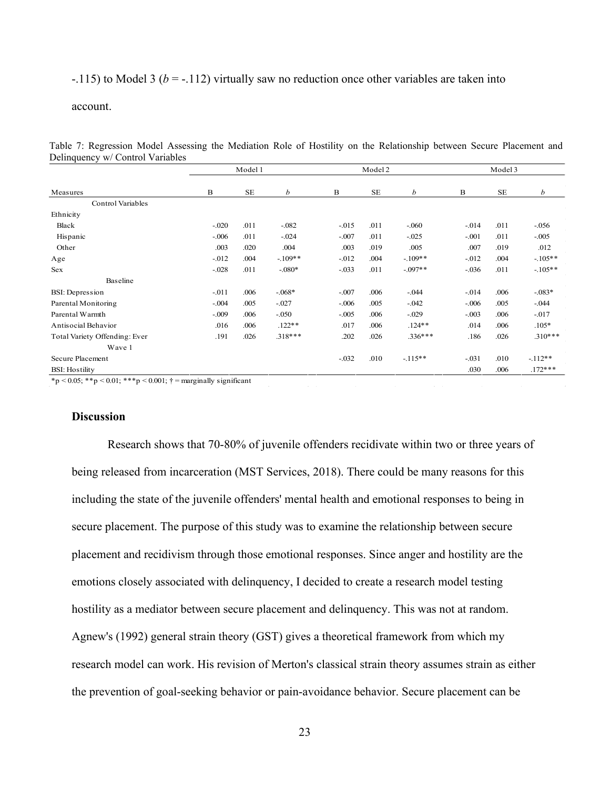$-115$ ) to Model 3 ( $b = -112$ ) virtually saw no reduction once other variables are taken into

#### account.

Table 7: Regression Model Assessing the Mediation Role of Hostility on the Relationship between Secure Placement and Delinquency w/ Control Variables

|         |           |           |          | Model 2   |            | Model 3  |           |           |  |  |
|---------|-----------|-----------|----------|-----------|------------|----------|-----------|-----------|--|--|
| В       | <b>SE</b> | b         | B        | <b>SE</b> | b          | B        | <b>SE</b> | b         |  |  |
|         |           |           |          |           |            |          |           |           |  |  |
|         |           |           |          |           |            |          |           |           |  |  |
| $-.020$ | .011      | $-.082$   | $-.015$  | .011      | $-.060$    | $-0.014$ | .011      | $-.056$   |  |  |
| $-.006$ | .011      | $-.024$   | $-.007$  | .011      | $-0.025$   | $-.001$  | .011      | $-.005$   |  |  |
| .003    | .020      | .004      | .003     | .019      | .005       | .007     | .019      | .012      |  |  |
| $-.012$ | .004      | $-109**$  | $-0.012$ | .004      | $-.109**$  | $-0.012$ | .004      | $-105**$  |  |  |
| $-.028$ | .011      | $-.080*$  | $-.033$  | .011      | $-0.097**$ | $-.036$  | .011      | $-105**$  |  |  |
|         |           |           |          |           |            |          |           |           |  |  |
| $-.011$ | .006      | $-068*$   | $-.007$  | .006      | $-.044$    | $-.014$  | .006      | $-083*$   |  |  |
| $-.004$ | .005      | $-0.027$  | $-.006$  | .005      | $-0.042$   | $-.006$  | .005      | $-.044$   |  |  |
| $-.009$ | .006      | $-.050$   | $-.005$  | .006      | $-.029$    | $-.003$  | .006      | $-0.017$  |  |  |
| .016    | .006      | $.122**$  | .017     | .006      | $.124**$   | .014     | .006      | $.105*$   |  |  |
| .191    | .026      | $.318***$ | .202     | .026      | $.336***$  | .186     | .026      | $.310***$ |  |  |
|         |           |           |          |           |            |          |           |           |  |  |
|         |           |           | $-.032$  | .010      | $-115**$   | $-.031$  | .010      | $-112**$  |  |  |
|         |           |           |          |           |            | .030     | .006      | $.172***$ |  |  |
|         |           | Model 1   |          |           |            |          |           |           |  |  |

 $p < 0.05$ ; \*\*p  $< 0.01$ ; \*\*\*p  $< 0.001$ ;  $\dagger$  = marginally significant

#### **Discussion**

Research shows that 70-80% of juvenile offenders recidivate within two or three years of being released from incarceration (MST Services, 2018). There could be many reasons for this including the state of the juvenile offenders' mental health and emotional responses to being in secure placement. The purpose of this study was to examine the relationship between secure placement and recidivism through those emotional responses. Since anger and hostility are the emotions closely associated with delinquency, I decided to create a research model testing hostility as a mediator between secure placement and delinquency. This was not at random. Agnew's (1992) general strain theory (GST) gives a theoretical framework from which my research model can work. His revision of Merton's classical strain theory assumes strain as either the prevention of goal-seeking behavior or pain-avoidance behavior. Secure placement can be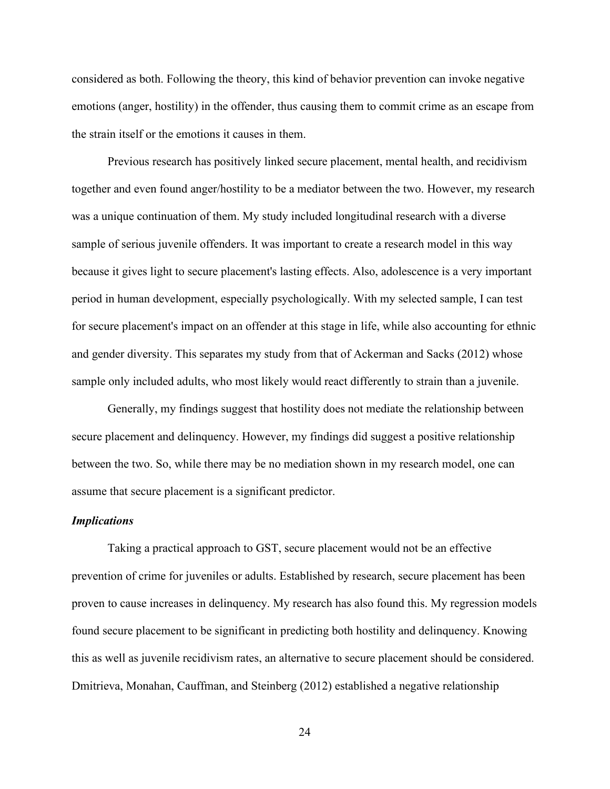considered as both. Following the theory, this kind of behavior prevention can invoke negative emotions (anger, hostility) in the offender, thus causing them to commit crime as an escape from the strain itself or the emotions it causes in them.

Previous research has positively linked secure placement, mental health, and recidivism together and even found anger/hostility to be a mediator between the two. However, my research was a unique continuation of them. My study included longitudinal research with a diverse sample of serious juvenile offenders. It was important to create a research model in this way because it gives light to secure placement's lasting effects. Also, adolescence is a very important period in human development, especially psychologically. With my selected sample, I can test for secure placement's impact on an offender at this stage in life, while also accounting for ethnic and gender diversity. This separates my study from that of Ackerman and Sacks (2012) whose sample only included adults, who most likely would react differently to strain than a juvenile.

Generally, my findings suggest that hostility does not mediate the relationship between secure placement and delinquency. However, my findings did suggest a positive relationship between the two. So, while there may be no mediation shown in my research model, one can assume that secure placement is a significant predictor.

#### <span id="page-32-0"></span>*Implications*

Taking a practical approach to GST, secure placement would not be an effective prevention of crime for juveniles or adults. Established by research, secure placement has been proven to cause increases in delinquency. My research has also found this. My regression models found secure placement to be significant in predicting both hostility and delinquency. Knowing this as well as juvenile recidivism rates, an alternative to secure placement should be considered. Dmitrieva, Monahan, Cauffman, and Steinberg (2012) established a negative relationship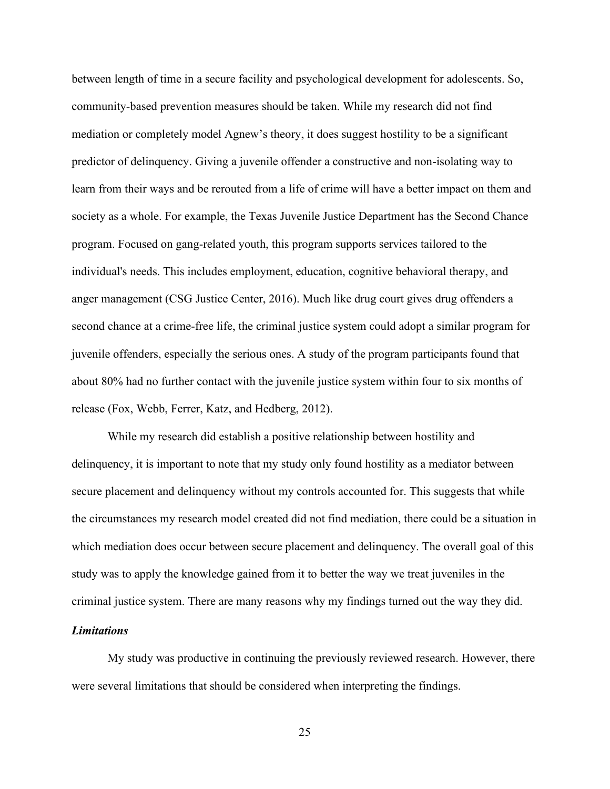between length of time in a secure facility and psychological development for adolescents. So, community-based prevention measures should be taken. While my research did not find mediation or completely model Agnew's theory, it does suggest hostility to be a significant predictor of delinquency. Giving a juvenile offender a constructive and non-isolating way to learn from their ways and be rerouted from a life of crime will have a better impact on them and society as a whole. For example, the Texas Juvenile Justice Department has the Second Chance program. Focused on gang-related youth, this program supports services tailored to the individual's needs. This includes employment, education, cognitive behavioral therapy, and anger management (CSG Justice Center, 2016). Much like drug court gives drug offenders a second chance at a crime-free life, the criminal justice system could adopt a similar program for juvenile offenders, especially the serious ones. A study of the program participants found that about 80% had no further contact with the juvenile justice system within four to six months of release (Fox, Webb, Ferrer, Katz, and Hedberg, 2012).

While my research did establish a positive relationship between hostility and delinquency, it is important to note that my study only found hostility as a mediator between secure placement and delinquency without my controls accounted for. This suggests that while the circumstances my research model created did not find mediation, there could be a situation in which mediation does occur between secure placement and delinquency. The overall goal of this study was to apply the knowledge gained from it to better the way we treat juveniles in the criminal justice system. There are many reasons why my findings turned out the way they did.

#### <span id="page-33-0"></span>*Limitations*

My study was productive in continuing the previously reviewed research. However, there were several limitations that should be considered when interpreting the findings.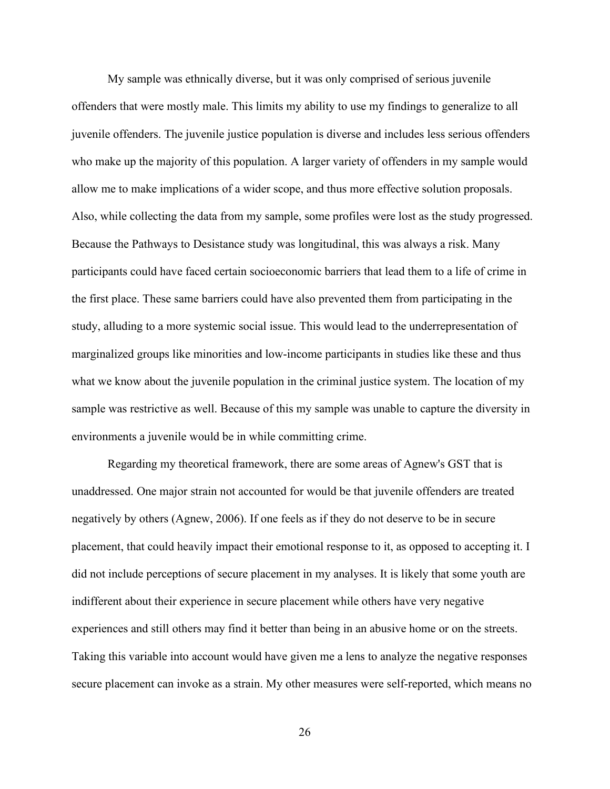My sample was ethnically diverse, but it was only comprised of serious juvenile offenders that were mostly male. This limits my ability to use my findings to generalize to all juvenile offenders. The juvenile justice population is diverse and includes less serious offenders who make up the majority of this population. A larger variety of offenders in my sample would allow me to make implications of a wider scope, and thus more effective solution proposals. Also, while collecting the data from my sample, some profiles were lost as the study progressed. Because the Pathways to Desistance study was longitudinal, this was always a risk. Many participants could have faced certain socioeconomic barriers that lead them to a life of crime in the first place. These same barriers could have also prevented them from participating in the study, alluding to a more systemic social issue. This would lead to the underrepresentation of marginalized groups like minorities and low-income participants in studies like these and thus what we know about the juvenile population in the criminal justice system. The location of my sample was restrictive as well. Because of this my sample was unable to capture the diversity in environments a juvenile would be in while committing crime.

Regarding my theoretical framework, there are some areas of Agnew's GST that is unaddressed. One major strain not accounted for would be that juvenile offenders are treated negatively by others (Agnew, 2006). If one feels as if they do not deserve to be in secure placement, that could heavily impact their emotional response to it, as opposed to accepting it. I did not include perceptions of secure placement in my analyses. It is likely that some youth are indifferent about their experience in secure placement while others have very negative experiences and still others may find it better than being in an abusive home or on the streets. Taking this variable into account would have given me a lens to analyze the negative responses secure placement can invoke as a strain. My other measures were self-reported, which means no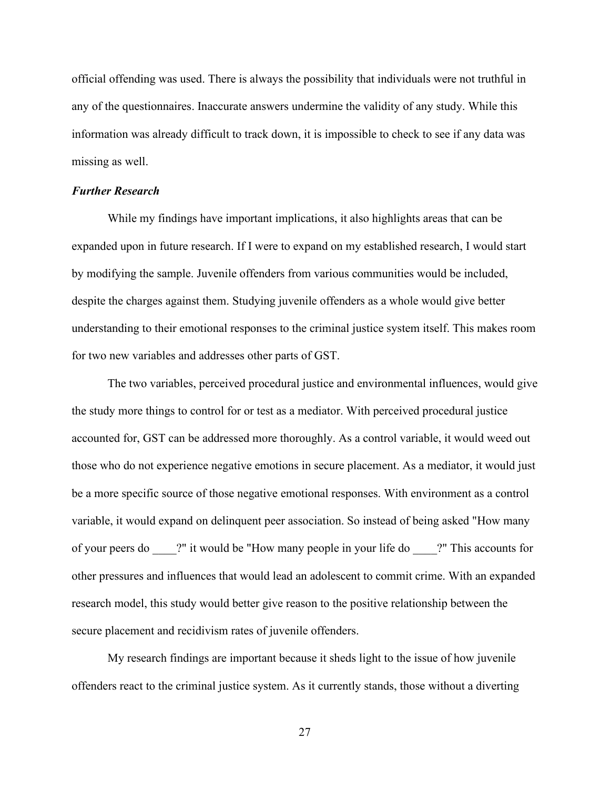official offending was used. There is always the possibility that individuals were not truthful in any of the questionnaires. Inaccurate answers undermine the validity of any study. While this information was already difficult to track down, it is impossible to check to see if any data was missing as well.

#### <span id="page-35-0"></span>*Further Research*

While my findings have important implications, it also highlights areas that can be expanded upon in future research. If I were to expand on my established research, I would start by modifying the sample. Juvenile offenders from various communities would be included, despite the charges against them. Studying juvenile offenders as a whole would give better understanding to their emotional responses to the criminal justice system itself. This makes room for two new variables and addresses other parts of GST.

The two variables, perceived procedural justice and environmental influences, would give the study more things to control for or test as a mediator. With perceived procedural justice accounted for, GST can be addressed more thoroughly. As a control variable, it would weed out those who do not experience negative emotions in secure placement. As a mediator, it would just be a more specific source of those negative emotional responses. With environment as a control variable, it would expand on delinquent peer association. So instead of being asked "How many of your peers do \_\_\_\_?" it would be "How many people in your life do \_\_\_\_?" This accounts for other pressures and influences that would lead an adolescent to commit crime. With an expanded research model, this study would better give reason to the positive relationship between the secure placement and recidivism rates of juvenile offenders.

My research findings are important because it sheds light to the issue of how juvenile offenders react to the criminal justice system. As it currently stands, those without a diverting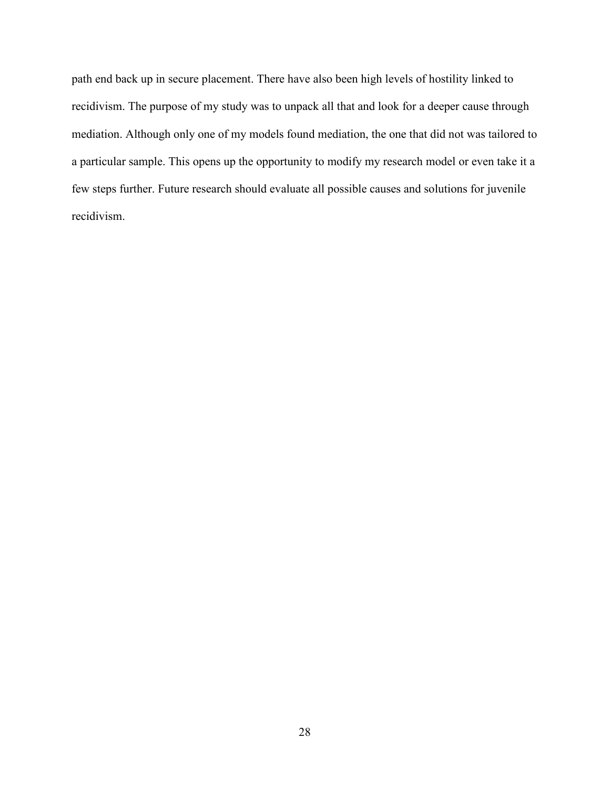path end back up in secure placement. There have also been high levels of hostility linked to recidivism. The purpose of my study was to unpack all that and look for a deeper cause through mediation. Although only one of my models found mediation, the one that did not was tailored to a particular sample. This opens up the opportunity to modify my research model or even take it a few steps further. Future research should evaluate all possible causes and solutions for juvenile recidivism.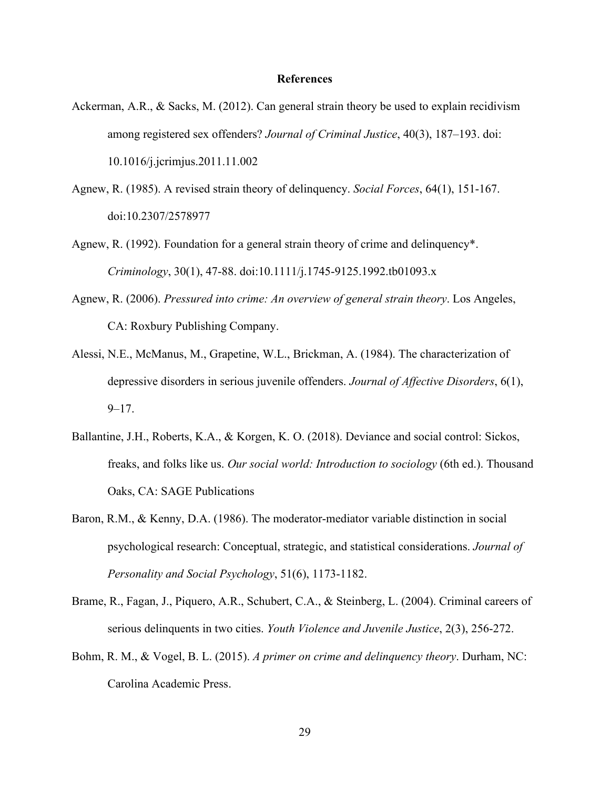#### **References**

- <span id="page-37-0"></span>Ackerman, A.R., & Sacks, M. (2012). Can general strain theory be used to explain recidivism among registered sex offenders? *Journal of Criminal Justice*, 40(3), 187–193. doi: 10.1016/j.jcrimjus.2011.11.002
- Agnew, R. (1985). A revised strain theory of delinquency. *Social Forces*, 64(1), 151-167. doi:10.2307/2578977
- Agnew, R. (1992). Foundation for a general strain theory of crime and delinquency\*. *Criminology*, 30(1), 47-88. doi:10.1111/j.1745-9125.1992.tb01093.x
- Agnew, R. (2006). *Pressured into crime: An overview of general strain theory*. Los Angeles, CA: Roxbury Publishing Company.
- Alessi, N.E., McManus, M., Grapetine, W.L., Brickman, A. (1984). The characterization of depressive disorders in serious juvenile offenders. *Journal of Affective Disorders*, 6(1),  $9 - 17$ .
- Ballantine, J.H., Roberts, K.A., & Korgen, K. O. (2018). Deviance and social control: Sickos, freaks, and folks like us. *Our social world: Introduction to sociology* (6th ed.). Thousand Oaks, CA: SAGE Publications
- Baron, R.M., & Kenny, D.A. (1986). The moderator-mediator variable distinction in social psychological research: Conceptual, strategic, and statistical considerations. *Journal of Personality and Social Psychology*, 51(6), 1173-1182.
- Brame, R., Fagan, J., Piquero, A.R., Schubert, C.A., & Steinberg, L. (2004). Criminal careers of serious delinquents in two cities. *Youth Violence and Juvenile Justice*, 2(3), 256-272.
- Bohm, R. M., & Vogel, B. L. (2015). *A primer on crime and delinquency theory*. Durham, NC: Carolina Academic Press.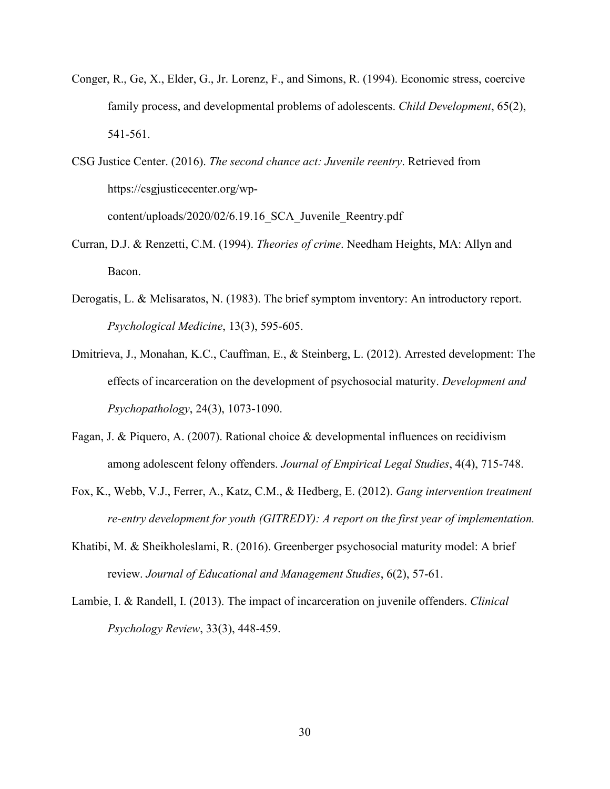- Conger, R., Ge, X., Elder, G., Jr. Lorenz, F., and Simons, R. (1994). Economic stress, coercive family process, and developmental problems of adolescents. *Child Development*, 65(2), 541-561.
- CSG Justice Center. (2016). *The second chance act: Juvenile reentry*. Retrieved from https://csgjusticecenter.org/wpcontent/uploads/2020/02/6.19.16\_SCA\_Juvenile\_Reentry.pdf
- Curran, D.J. & Renzetti, C.M. (1994). *Theories of crime*. Needham Heights, MA: Allyn and Bacon.
- Derogatis, L. & Melisaratos, N. (1983). The brief symptom inventory: An introductory report. *Psychological Medicine*, 13(3), 595-605.
- Dmitrieva, J., Monahan, K.C., Cauffman, E., & Steinberg, L. (2012). Arrested development: The effects of incarceration on the development of psychosocial maturity. *Development and Psychopathology*, 24(3), 1073-1090.
- Fagan, J. & Piquero, A. (2007). Rational choice & developmental influences on recidivism among adolescent felony offenders. *Journal of Empirical Legal Studies*, 4(4), 715-748.
- Fox, K., Webb, V.J., Ferrer, A., Katz, C.M., & Hedberg, E. (2012). *Gang intervention treatment re-entry development for youth (GITREDY): A report on the first year of implementation.*
- Khatibi, M. & Sheikholeslami, R. (2016). Greenberger psychosocial maturity model: A brief review. *Journal of Educational and Management Studies*, 6(2), 57-61.
- Lambie, I. & Randell, I. (2013). The impact of incarceration on juvenile offenders. *Clinical Psychology Review*, 33(3), 448-459.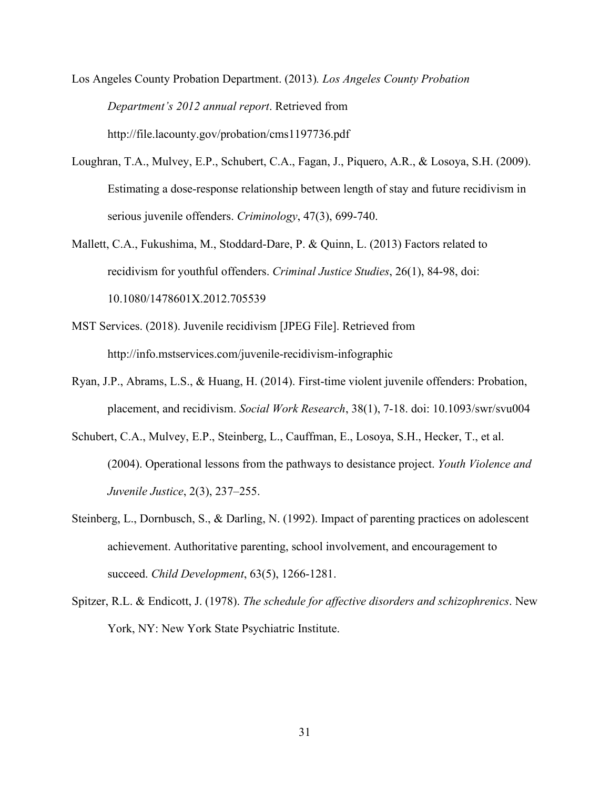Los Angeles County Probation Department. (2013)*. Los Angeles County Probation Department's 2012 annual report*. Retrieved from http://file.lacounty.gov/probation/cms1197736.pdf

- Loughran, T.A., Mulvey, E.P., Schubert, C.A., Fagan, J., Piquero, A.R., & Losoya, S.H. (2009). Estimating a dose‐response relationship between length of stay and future recidivism in serious juvenile offenders. *Criminology*, 47(3), 699-740.
- Mallett, C.A., Fukushima, M., Stoddard-Dare, P. & Quinn, L. (2013) Factors related to recidivism for youthful offenders. *Criminal Justice Studies*, 26(1), 84-98, doi: 10.1080/1478601X.2012.705539
- MST Services. (2018). Juvenile recidivism [JPEG File]. Retrieved from http://info.mstservices.com/juvenile-recidivism-infographic
- Ryan, J.P., Abrams, L.S., & Huang, H. (2014). First-time violent juvenile offenders: Probation, placement, and recidivism. *Social Work Research*, 38(1), 7-18. doi: 10.1093/swr/svu004
- Schubert, C.A., Mulvey, E.P., Steinberg, L., Cauffman, E., Losoya, S.H., Hecker, T., et al. (2004). Operational lessons from the pathways to desistance project. *Youth Violence and Juvenile Justice*, 2(3), 237–255.
- Steinberg, L., Dornbusch, S., & Darling, N. (1992). Impact of parenting practices on adolescent achievement. Authoritative parenting, school involvement, and encouragement to succeed. *Child Development*, 63(5), 1266-1281.
- Spitzer, R.L. & Endicott, J. (1978). *The schedule for affective disorders and schizophrenics*. New York, NY: New York State Psychiatric Institute.